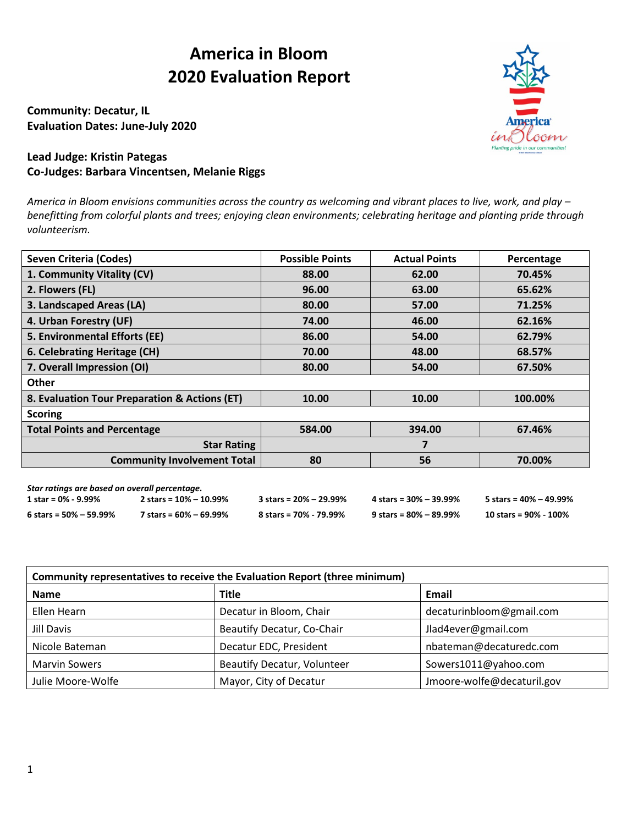## **America in Bloom 2020 Evaluation Report**

**Community: Decatur, IL Evaluation Dates: June-July 2020**



## **Lead Judge: Kristin Pategas Co-Judges: Barbara Vincentsen, Melanie Riggs**

*America in Bloom envisions communities across the country as welcoming and vibrant places to live, work, and play – benefitting from colorful plants and trees; enjoying clean environments; celebrating heritage and planting pride through volunteerism.*

| <b>Seven Criteria (Codes)</b>                 | <b>Possible Points</b> | <b>Actual Points</b> | Percentage |
|-----------------------------------------------|------------------------|----------------------|------------|
| 1. Community Vitality (CV)                    | 88.00                  | 62.00                | 70.45%     |
| 2. Flowers (FL)                               | 96.00                  | 63.00                | 65.62%     |
| 3. Landscaped Areas (LA)                      | 80.00                  | 57.00                | 71.25%     |
| 4. Urban Forestry (UF)                        | 74.00                  | 46.00                | 62.16%     |
| 5. Environmental Efforts (EE)                 | 86.00                  | 54.00                | 62.79%     |
| 6. Celebrating Heritage (CH)                  | 70.00                  | 48.00                | 68.57%     |
| 7. Overall Impression (OI)                    | 80.00                  | 54.00                | 67.50%     |
| <b>Other</b>                                  |                        |                      |            |
| 8. Evaluation Tour Preparation & Actions (ET) | 10.00                  | 10.00                | 100.00%    |
| <b>Scoring</b>                                |                        |                      |            |
| <b>Total Points and Percentage</b>            | 584.00                 | 394.00               | 67.46%     |
| <b>Star Rating</b>                            |                        | 7                    |            |
| <b>Community Involvement Total</b>            | 80                     | 56                   | 70.00%     |
| Star ratinas are hased on overall nercentage  |                        |                      |            |

| star ratings are based on overall percentage. |                            |                                    |                                    |                        |
|-----------------------------------------------|----------------------------|------------------------------------|------------------------------------|------------------------|
| 1 star = 0% - 9.99%                           | 2 stars = $10\% - 10.99\%$ | $3 \text{ stars} = 20\% - 29.99\%$ | $4 \text{ stars} = 30\% - 39.99\%$ | 5 stars = 40% – 49.99% |
| $6 \text{ stars} = 50\% - 59.99\%$            | 7 stars = 60% – 69.99%     | 8 stars = 70% - 79.99%             | $9 \text{ stars} = 80\% - 89.99\%$ | 10 stars = 90% - 100%  |

| Community representatives to receive the Evaluation Report (three minimum) |                                    |                            |  |  |  |  |  |
|----------------------------------------------------------------------------|------------------------------------|----------------------------|--|--|--|--|--|
| <b>Name</b>                                                                | <b>Title</b>                       | Email                      |  |  |  |  |  |
| Ellen Hearn                                                                | Decatur in Bloom, Chair            | decaturinbloom@gmail.com   |  |  |  |  |  |
| Jill Davis                                                                 | Beautify Decatur, Co-Chair         | Jlad4ever@gmail.com        |  |  |  |  |  |
| Nicole Bateman                                                             | Decatur EDC, President             | nbateman@decaturedc.com    |  |  |  |  |  |
| <b>Marvin Sowers</b>                                                       | <b>Beautify Decatur, Volunteer</b> | Sowers1011@yahoo.com       |  |  |  |  |  |
| Julie Moore-Wolfe                                                          | Mayor, City of Decatur             | Jmoore-wolfe@decaturil.gov |  |  |  |  |  |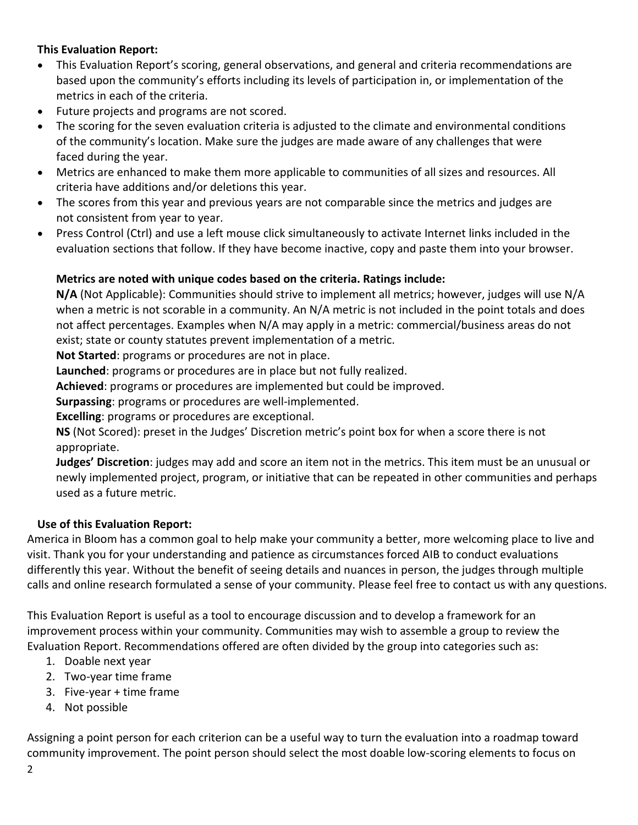#### **This Evaluation Report:**

- This Evaluation Report's scoring, general observations, and general and criteria recommendations are based upon the community's efforts including its levels of participation in, or implementation of the metrics in each of the criteria.
- Future projects and programs are not scored.
- The scoring for the seven evaluation criteria is adjusted to the climate and environmental conditions of the community's location. Make sure the judges are made aware of any challenges that were faced during the year.
- Metrics are enhanced to make them more applicable to communities of all sizes and resources. All criteria have additions and/or deletions this year.
- The scores from this year and previous years are not comparable since the metrics and judges are not consistent from year to year.
- Press Control (Ctrl) and use a left mouse click simultaneously to activate Internet links included in the evaluation sections that follow. If they have become inactive, copy and paste them into your browser.

#### **Metrics are noted with unique codes based on the criteria. Ratings include:**

**N/A** (Not Applicable): Communities should strive to implement all metrics; however, judges will use N/A when a metric is not scorable in a community. An N/A metric is not included in the point totals and does not affect percentages. Examples when N/A may apply in a metric: commercial/business areas do not exist; state or county statutes prevent implementation of a metric.

**Not Started**: programs or procedures are not in place.

**Launched**: programs or procedures are in place but not fully realized.

**Achieved**: programs or procedures are implemented but could be improved.

**Surpassing**: programs or procedures are well-implemented.

**Excelling**: programs or procedures are exceptional.

**NS** (Not Scored): preset in the Judges' Discretion metric's point box for when a score there is not appropriate.

**Judges' Discretion**: judges may add and score an item not in the metrics. This item must be an unusual or newly implemented project, program, or initiative that can be repeated in other communities and perhaps used as a future metric.

#### **Use of this Evaluation Report:**

America in Bloom has a common goal to help make your community a better, more welcoming place to live and visit. Thank you for your understanding and patience as circumstances forced AIB to conduct evaluations differently this year. Without the benefit of seeing details and nuances in person, the judges through multiple calls and online research formulated a sense of your community. Please feel free to contact us with any questions.

This Evaluation Report is useful as a tool to encourage discussion and to develop a framework for an improvement process within your community. Communities may wish to assemble a group to review the Evaluation Report. Recommendations offered are often divided by the group into categories such as:

- 1. Doable next year
- 2. Two-year time frame
- 3. Five-year + time frame
- 4. Not possible

Assigning a point person for each criterion can be a useful way to turn the evaluation into a roadmap toward community improvement. The point person should select the most doable low-scoring elements to focus on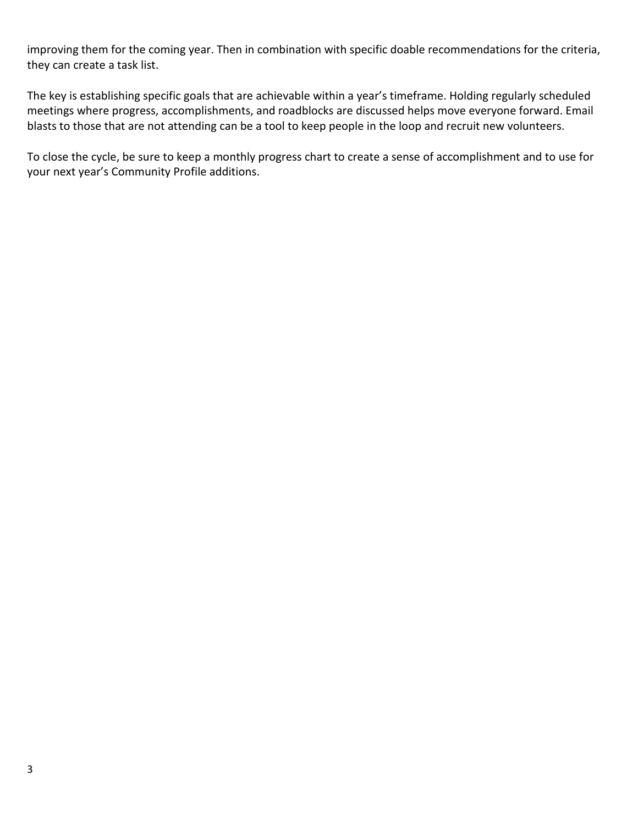improving them for the coming year. Then in combination with specific doable recommendations for the criteria, they can create a task list.

The key is establishing specific goals that are achievable within a year's timeframe. Holding regularly scheduled meetings where progress, accomplishments, and roadblocks are discussed helps move everyone forward. Email blasts to those that are not attending can be a tool to keep people in the loop and recruit new volunteers.

To close the cycle, be sure to keep a monthly progress chart to create a sense of accomplishment and to use for your next year's Community Profile additions.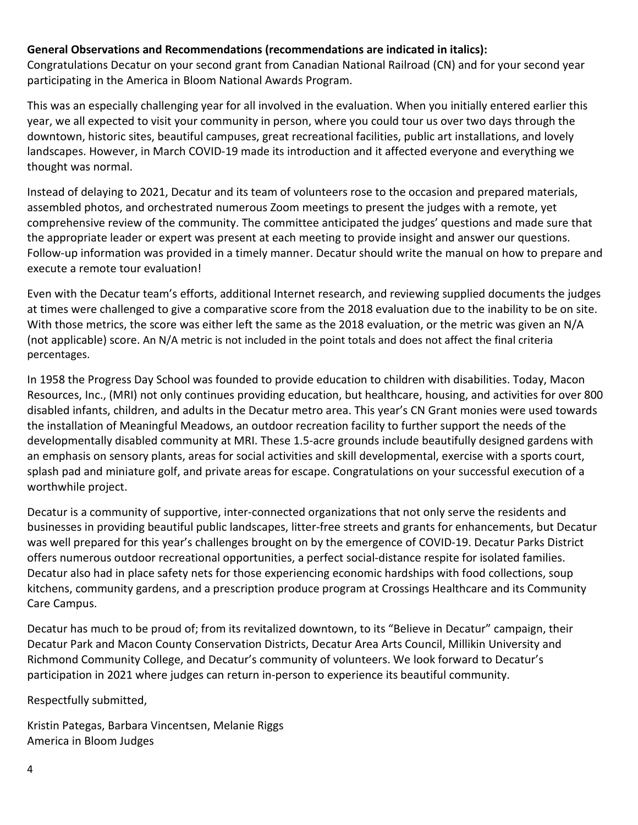#### **General Observations and Recommendations (recommendations are indicated in italics):**

Congratulations Decatur on your second grant from Canadian National Railroad (CN) and for your second year participating in the America in Bloom National Awards Program.

This was an especially challenging year for all involved in the evaluation. When you initially entered earlier this year, we all expected to visit your community in person, where you could tour us over two days through the downtown, historic sites, beautiful campuses, great recreational facilities, public art installations, and lovely landscapes. However, in March COVID-19 made its introduction and it affected everyone and everything we thought was normal.

Instead of delaying to 2021, Decatur and its team of volunteers rose to the occasion and prepared materials, assembled photos, and orchestrated numerous Zoom meetings to present the judges with a remote, yet comprehensive review of the community. The committee anticipated the judges' questions and made sure that the appropriate leader or expert was present at each meeting to provide insight and answer our questions. Follow-up information was provided in a timely manner. Decatur should write the manual on how to prepare and execute a remote tour evaluation!

Even with the Decatur team's efforts, additional Internet research, and reviewing supplied documents the judges at times were challenged to give a comparative score from the 2018 evaluation due to the inability to be on site. With those metrics, the score was either left the same as the 2018 evaluation, or the metric was given an N/A (not applicable) score. An N/A metric is not included in the point totals and does not affect the final criteria percentages.

In 1958 the Progress Day School was founded to provide education to children with disabilities. Today, Macon Resources, Inc., (MRI) not only continues providing education, but healthcare, housing, and activities for over 800 disabled infants, children, and adults in the Decatur metro area. This year's CN Grant monies were used towards the installation of Meaningful Meadows, an outdoor recreation facility to further support the needs of the developmentally disabled community at MRI. These 1.5-acre grounds include beautifully designed gardens with an emphasis on sensory plants, areas for social activities and skill developmental, exercise with a sports court, splash pad and miniature golf, and private areas for escape. Congratulations on your successful execution of a worthwhile project.

Decatur is a community of supportive, inter-connected organizations that not only serve the residents and businesses in providing beautiful public landscapes, litter-free streets and grants for enhancements, but Decatur was well prepared for this year's challenges brought on by the emergence of COVID-19. Decatur Parks District offers numerous outdoor recreational opportunities, a perfect social-distance respite for isolated families. Decatur also had in place safety nets for those experiencing economic hardships with food collections, soup kitchens, community gardens, and a prescription produce program at Crossings Healthcare and its Community Care Campus.

Decatur has much to be proud of; from its revitalized downtown, to its "Believe in Decatur" campaign, their Decatur Park and Macon County Conservation Districts, Decatur Area Arts Council, Millikin University and Richmond Community College, and Decatur's community of volunteers. We look forward to Decatur's participation in 2021 where judges can return in-person to experience its beautiful community.

Respectfully submitted,

Kristin Pategas, Barbara Vincentsen, Melanie Riggs America in Bloom Judges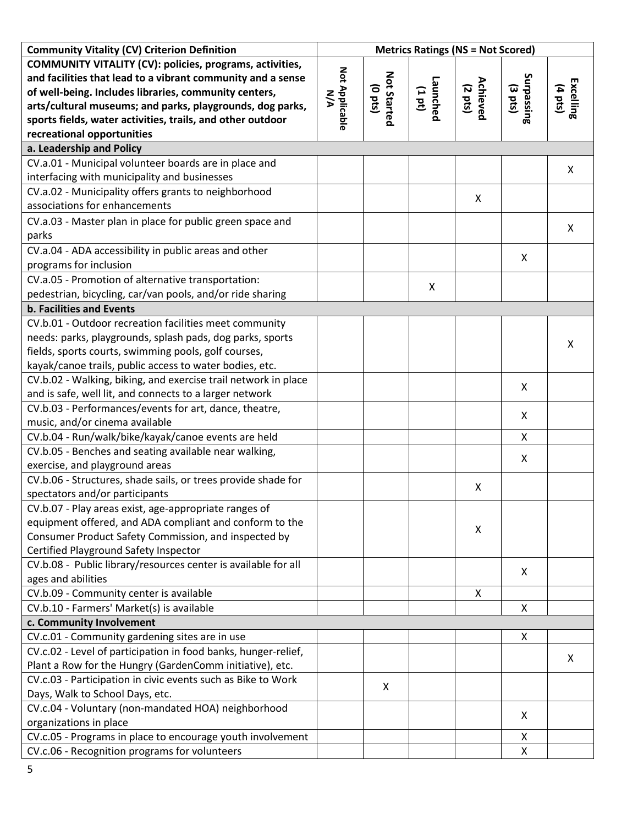| <b>Community Vitality (CV) Criterion Definition</b>            | <b>Metrics Ratings (NS = Not Scored)</b> |                               |                    |                     |                          |                      |
|----------------------------------------------------------------|------------------------------------------|-------------------------------|--------------------|---------------------|--------------------------|----------------------|
| COMMUNITY VITALITY (CV): policies, programs, activities,       |                                          |                               |                    |                     |                          |                      |
| and facilities that lead to a vibrant community and a sense    |                                          |                               |                    |                     |                          |                      |
| of well-being. Includes libraries, community centers,          | Not Applicable<br><b>N/A</b>             | <b>Not Started</b><br>(o pts) | Launched<br>(1 pt) | Achieved<br>(2 pts) | Surpassing<br>Surpassing | Excelling<br>(4 pts) |
| arts/cultural museums; and parks, playgrounds, dog parks,      |                                          |                               |                    |                     |                          |                      |
| sports fields, water activities, trails, and other outdoor     |                                          |                               |                    |                     |                          |                      |
| recreational opportunities                                     |                                          |                               |                    |                     |                          |                      |
| a. Leadership and Policy                                       |                                          |                               |                    |                     |                          |                      |
| CV.a.01 - Municipal volunteer boards are in place and          |                                          |                               |                    |                     |                          | X                    |
| interfacing with municipality and businesses                   |                                          |                               |                    |                     |                          |                      |
| CV.a.02 - Municipality offers grants to neighborhood           |                                          |                               |                    | Χ                   |                          |                      |
| associations for enhancements                                  |                                          |                               |                    |                     |                          |                      |
| CV.a.03 - Master plan in place for public green space and      |                                          |                               |                    |                     |                          |                      |
| parks                                                          |                                          |                               |                    |                     |                          | X                    |
| CV.a.04 - ADA accessibility in public areas and other          |                                          |                               |                    |                     |                          |                      |
| programs for inclusion                                         |                                          |                               |                    |                     | X                        |                      |
| CV.a.05 - Promotion of alternative transportation:             |                                          |                               |                    |                     |                          |                      |
| pedestrian, bicycling, car/van pools, and/or ride sharing      |                                          |                               | X                  |                     |                          |                      |
| <b>b. Facilities and Events</b>                                |                                          |                               |                    |                     |                          |                      |
| CV.b.01 - Outdoor recreation facilities meet community         |                                          |                               |                    |                     |                          |                      |
| needs: parks, playgrounds, splash pads, dog parks, sports      |                                          |                               |                    |                     |                          |                      |
| fields, sports courts, swimming pools, golf courses,           |                                          |                               |                    |                     |                          | X                    |
| kayak/canoe trails, public access to water bodies, etc.        |                                          |                               |                    |                     |                          |                      |
| CV.b.02 - Walking, biking, and exercise trail network in place |                                          |                               |                    |                     |                          |                      |
| and is safe, well lit, and connects to a larger network        |                                          |                               |                    |                     | X                        |                      |
| CV.b.03 - Performances/events for art, dance, theatre,         |                                          |                               |                    |                     |                          |                      |
| music, and/or cinema available                                 |                                          |                               |                    |                     | X                        |                      |
| CV.b.04 - Run/walk/bike/kayak/canoe events are held            |                                          |                               |                    |                     | X                        |                      |
| CV.b.05 - Benches and seating available near walking,          |                                          |                               |                    |                     |                          |                      |
| exercise, and playground areas                                 |                                          |                               |                    |                     | X                        |                      |
| CV.b.06 - Structures, shade sails, or trees provide shade for  |                                          |                               |                    | X                   |                          |                      |
| spectators and/or participants                                 |                                          |                               |                    |                     |                          |                      |
| CV.b.07 - Play areas exist, age-appropriate ranges of          |                                          |                               |                    |                     |                          |                      |
| equipment offered, and ADA compliant and conform to the        |                                          |                               |                    | X                   |                          |                      |
| Consumer Product Safety Commission, and inspected by           |                                          |                               |                    |                     |                          |                      |
| Certified Playground Safety Inspector                          |                                          |                               |                    |                     |                          |                      |
| CV.b.08 - Public library/resources center is available for all |                                          |                               |                    |                     | X                        |                      |
| ages and abilities                                             |                                          |                               |                    |                     |                          |                      |
| CV.b.09 - Community center is available                        |                                          |                               |                    | X                   |                          |                      |
| CV.b.10 - Farmers' Market(s) is available                      |                                          |                               |                    |                     | X                        |                      |
| c. Community Involvement                                       |                                          |                               |                    |                     |                          |                      |
| CV.c.01 - Community gardening sites are in use                 |                                          |                               |                    |                     | X                        |                      |
| CV.c.02 - Level of participation in food banks, hunger-relief, |                                          |                               |                    |                     |                          | X                    |
| Plant a Row for the Hungry (GardenComm initiative), etc.       |                                          |                               |                    |                     |                          |                      |
| CV.c.03 - Participation in civic events such as Bike to Work   |                                          | X                             |                    |                     |                          |                      |
| Days, Walk to School Days, etc.                                |                                          |                               |                    |                     |                          |                      |
| CV.c.04 - Voluntary (non-mandated HOA) neighborhood            |                                          |                               |                    |                     | X                        |                      |
| organizations in place                                         |                                          |                               |                    |                     |                          |                      |
| CV.c.05 - Programs in place to encourage youth involvement     |                                          |                               |                    |                     | X                        |                      |
| CV.c.06 - Recognition programs for volunteers                  |                                          |                               |                    |                     | X                        |                      |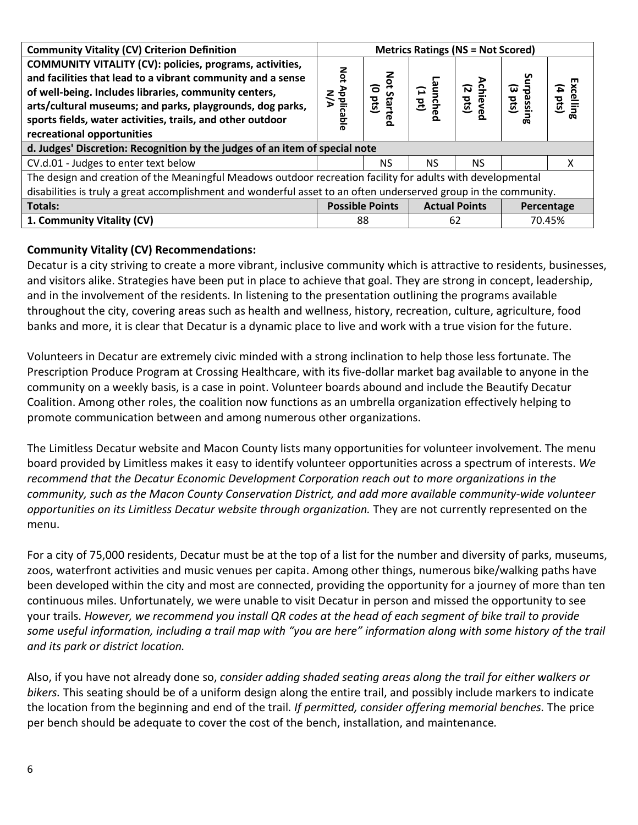| <b>Community Vitality (CV) Criterion Definition</b>                                                                                                                              | <b>Metrics Ratings (NS = Not Scored)</b> |                                 |                      |                           |                      |                                |  |
|----------------------------------------------------------------------------------------------------------------------------------------------------------------------------------|------------------------------------------|---------------------------------|----------------------|---------------------------|----------------------|--------------------------------|--|
| COMMUNITY VITALITY (CV): policies, programs, activities,<br>and facilities that lead to a vibrant community and a sense<br>of well-being. Includes libraries, community centers, | Not.                                     | Not                             |                      |                           | Surpassii<br>(2 pts) |                                |  |
| arts/cultural museums; and parks, playgrounds, dog parks,<br>sports fields, water activities, trails, and other outdoor<br>recreational opportunities                            | Applicable<br>N/A                        | (o pts)<br>Star<br>Star<br>ក្ខព | -aunched<br>-dime    | <b>(2 pts)</b><br>(2 pts) | 品                    | Excelling<br>$(4 \text{ pts})$ |  |
| d. Judges' Discretion: Recognition by the judges of an item of special note                                                                                                      |                                          |                                 |                      |                           |                      |                                |  |
| CV.d.01 - Judges to enter text below                                                                                                                                             |                                          | NS.                             | NS.                  | NS.                       |                      | х                              |  |
| The design and creation of the Meaningful Meadows outdoor recreation facility for adults with developmental                                                                      |                                          |                                 |                      |                           |                      |                                |  |
| disabilities is truly a great accomplishment and wonderful asset to an often underserved group in the community.                                                                 |                                          |                                 |                      |                           |                      |                                |  |
| <b>Totals:</b>                                                                                                                                                                   | <b>Possible Points</b>                   |                                 | <b>Actual Points</b> |                           | Percentage           |                                |  |
| 1. Community Vitality (CV)                                                                                                                                                       | 88                                       |                                 | 62                   |                           |                      | 70.45%                         |  |

#### **Community Vitality (CV) Recommendations:**

Decatur is a city striving to create a more vibrant, inclusive community which is attractive to residents, businesses, and visitors alike. Strategies have been put in place to achieve that goal. They are strong in concept, leadership, and in the involvement of the residents. In listening to the presentation outlining the programs available throughout the city, covering areas such as health and wellness, history, recreation, culture, agriculture, food banks and more, it is clear that Decatur is a dynamic place to live and work with a true vision for the future.

Volunteers in Decatur are extremely civic minded with a strong inclination to help those less fortunate. The Prescription Produce Program at Crossing Healthcare, with its five-dollar market bag available to anyone in the community on a weekly basis, is a case in point. Volunteer boards abound and include the Beautify Decatur Coalition. Among other roles, the coalition now functions as an umbrella organization effectively helping to promote communication between and among numerous other organizations.

The Limitless Decatur website and Macon County lists many opportunities for volunteer involvement. The menu board provided by Limitless makes it easy to identify volunteer opportunities across a spectrum of interests. *We recommend that the Decatur Economic Development Corporation reach out to more organizations in the community, such as the Macon County Conservation District, and add more available community-wide volunteer opportunities on its Limitless Decatur website through organization.* They are not currently represented on the menu.

For a city of 75,000 residents, Decatur must be at the top of a list for the number and diversity of parks, museums, zoos, waterfront activities and music venues per capita. Among other things, numerous bike/walking paths have been developed within the city and most are connected, providing the opportunity for a journey of more than ten continuous miles. Unfortunately, we were unable to visit Decatur in person and missed the opportunity to see your trails. *However, we recommend you install QR codes at the head of each segment of bike trail to provide some useful information, including a trail map with "you are here" information along with some history of the trail and its park or district location.* 

Also, if you have not already done so, *consider adding shaded seating areas along the trail for either walkers or bikers.* This seating should be of a uniform design along the entire trail, and possibly include markers to indicate the location from the beginning and end of the trail*. If permitted, consider offering memorial benches.* The price per bench should be adequate to cover the cost of the bench, installation, and maintenance*.*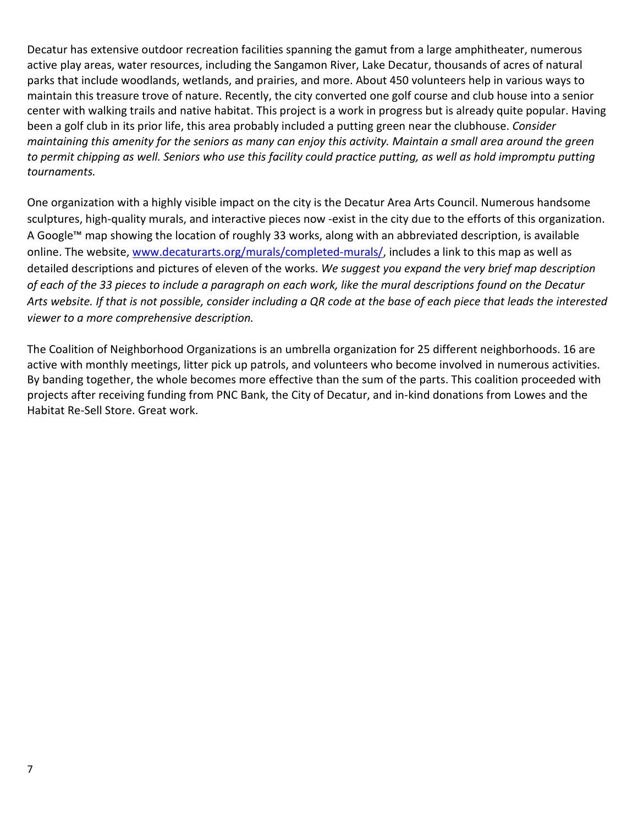Decatur has extensive outdoor recreation facilities spanning the gamut from a large amphitheater, numerous active play areas, water resources, including the Sangamon River, Lake Decatur, thousands of acres of natural parks that include woodlands, wetlands, and prairies, and more. About 450 volunteers help in various ways to maintain this treasure trove of nature. Recently, the city converted one golf course and club house into a senior center with walking trails and native habitat. This project is a work in progress but is already quite popular. Having been a golf club in its prior life, this area probably included a putting green near the clubhouse. *Consider maintaining this amenity for the seniors as many can enjoy this activity. Maintain a small area around the green to permit chipping as well. Seniors who use this facility could practice putting, as well as hold impromptu putting tournaments.*

One organization with a highly visible impact on the city is the Decatur Area Arts Council. Numerous handsome sculptures, high-quality murals, and interactive pieces now -exist in the city due to the efforts of this organization. A Google™ map showing the location of roughly 33 works, along with an abbreviated description, is available online. The website, [www.decaturarts.org/murals/completed-murals/,](http://www.decaturarts.org/murals/completed-murals/) includes a link to this map as well as detailed descriptions and pictures of eleven of the works. *We suggest you expand the very brief map description of each of the 33 pieces to include a paragraph on each work, like the mural descriptions found on the Decatur Arts website. If that is not possible, consider including a QR code at the base of each piece that leads the interested viewer to a more comprehensive description.*

The Coalition of Neighborhood Organizations is an umbrella organization for 25 different neighborhoods. 16 are active with monthly meetings, litter pick up patrols, and volunteers who become involved in numerous activities. By banding together, the whole becomes more effective than the sum of the parts. This coalition proceeded with projects after receiving funding from PNC Bank, the City of Decatur, and in-kind donations from Lowes and the Habitat Re-Sell Store. Great work.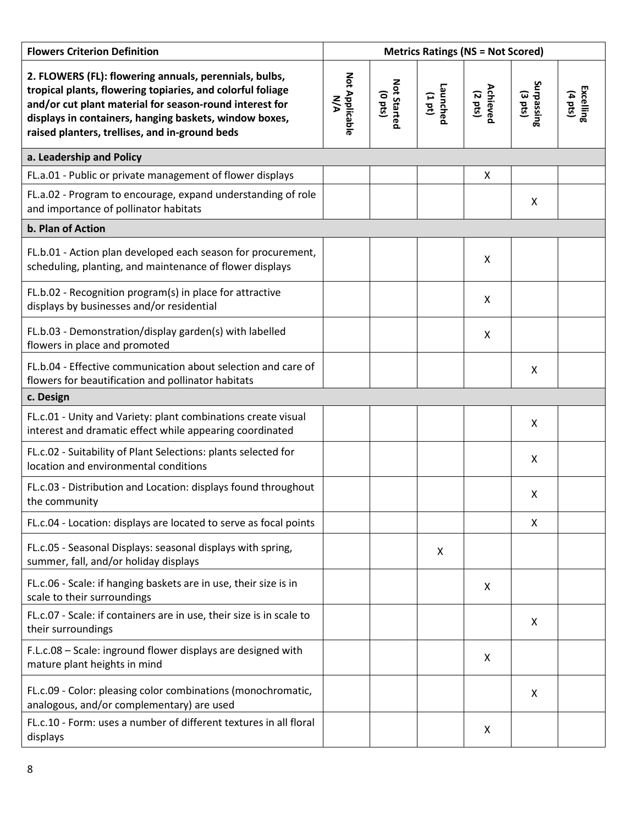| <b>Flowers Criterion Definition</b>                                                                                                                                                                                                                                                         | <b>Metrics Ratings (NS = Not Scored)</b> |                        |                       |                                      |                           |                                       |
|---------------------------------------------------------------------------------------------------------------------------------------------------------------------------------------------------------------------------------------------------------------------------------------------|------------------------------------------|------------------------|-----------------------|--------------------------------------|---------------------------|---------------------------------------|
| 2. FLOWERS (FL): flowering annuals, perennials, bulbs,<br>tropical plants, flowering topiaries, and colorful foliage<br>and/or cut plant material for season-round interest for<br>displays in containers, hanging baskets, window boxes,<br>raised planters, trellises, and in-ground beds | Not Applicable<br><b>NA</b>              | Not Started<br>(o pts) | Launched<br>$(1 d_1)$ | <b>Achieved</b><br>$(2 \text{ pts})$ | Surpassing<br>(3 pts)     | <b>Excelling</b><br>$(4 \text{ pts})$ |
| a. Leadership and Policy                                                                                                                                                                                                                                                                    |                                          |                        |                       |                                      |                           |                                       |
| FL.a.01 - Public or private management of flower displays                                                                                                                                                                                                                                   |                                          |                        |                       | X                                    |                           |                                       |
| FL.a.02 - Program to encourage, expand understanding of role<br>and importance of pollinator habitats                                                                                                                                                                                       |                                          |                        |                       |                                      | X                         |                                       |
| b. Plan of Action                                                                                                                                                                                                                                                                           |                                          |                        |                       |                                      |                           |                                       |
| FL.b.01 - Action plan developed each season for procurement,<br>scheduling, planting, and maintenance of flower displays                                                                                                                                                                    |                                          |                        |                       | X                                    |                           |                                       |
| FL.b.02 - Recognition program(s) in place for attractive<br>displays by businesses and/or residential                                                                                                                                                                                       |                                          |                        |                       | X                                    |                           |                                       |
| FL.b.03 - Demonstration/display garden(s) with labelled<br>flowers in place and promoted                                                                                                                                                                                                    |                                          |                        |                       | X                                    |                           |                                       |
| FL.b.04 - Effective communication about selection and care of<br>flowers for beautification and pollinator habitats                                                                                                                                                                         |                                          |                        |                       |                                      | X                         |                                       |
| c. Design                                                                                                                                                                                                                                                                                   |                                          |                        |                       |                                      |                           |                                       |
| FL.c.01 - Unity and Variety: plant combinations create visual<br>interest and dramatic effect while appearing coordinated                                                                                                                                                                   |                                          |                        |                       |                                      | X                         |                                       |
| FL.c.02 - Suitability of Plant Selections: plants selected for<br>location and environmental conditions                                                                                                                                                                                     |                                          |                        |                       |                                      | $\boldsymbol{\mathsf{X}}$ |                                       |
| FL.c.03 - Distribution and Location: displays found throughout<br>the community                                                                                                                                                                                                             |                                          |                        |                       |                                      | X                         |                                       |
| FL.c.04 - Location: displays are located to serve as focal points                                                                                                                                                                                                                           |                                          |                        |                       |                                      | X                         |                                       |
| FL.c.05 - Seasonal Displays: seasonal displays with spring,<br>summer, fall, and/or holiday displays                                                                                                                                                                                        |                                          |                        | X                     |                                      |                           |                                       |
| FL.c.06 - Scale: if hanging baskets are in use, their size is in<br>scale to their surroundings                                                                                                                                                                                             |                                          |                        |                       | X                                    |                           |                                       |
| FL.c.07 - Scale: if containers are in use, their size is in scale to<br>their surroundings                                                                                                                                                                                                  |                                          |                        |                       |                                      | X                         |                                       |
| F.L.c.08 - Scale: inground flower displays are designed with<br>mature plant heights in mind                                                                                                                                                                                                |                                          |                        |                       | X                                    |                           |                                       |
| FL.c.09 - Color: pleasing color combinations (monochromatic,<br>analogous, and/or complementary) are used                                                                                                                                                                                   |                                          |                        |                       |                                      | Χ                         |                                       |
| FL.c.10 - Form: uses a number of different textures in all floral<br>displays                                                                                                                                                                                                               |                                          |                        |                       | X                                    |                           |                                       |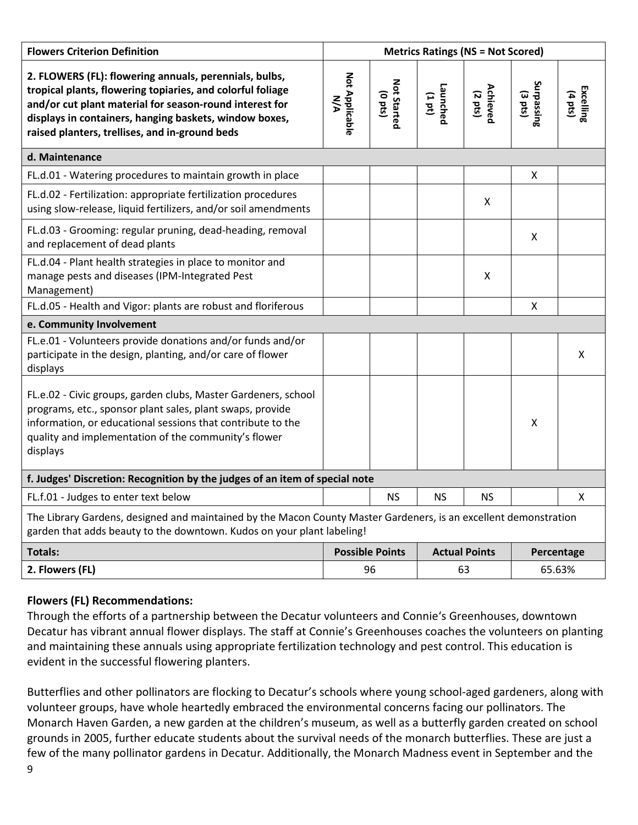| <b>Flowers Criterion Definition</b>                                                                                                                                                                                                                                                         |                              |                                     |                       | <b>Metrics Ratings (NS = Not Scored)</b> |                                 |                      |
|---------------------------------------------------------------------------------------------------------------------------------------------------------------------------------------------------------------------------------------------------------------------------------------------|------------------------------|-------------------------------------|-----------------------|------------------------------------------|---------------------------------|----------------------|
| 2. FLOWERS (FL): flowering annuals, perennials, bulbs,<br>tropical plants, flowering topiaries, and colorful foliage<br>and/or cut plant material for season-round interest for<br>displays in containers, hanging baskets, window boxes,<br>raised planters, trellises, and in-ground beds | Not Applicable<br><b>N/A</b> | <b>Not Started</b><br>$($ o pts $)$ | Launched<br>$(1 d_1)$ | Achieved<br>$(2 \text{ pts})$            | Surpassing<br>$(3 \text{ pts})$ | Excelling<br>(4 pts) |
| d. Maintenance                                                                                                                                                                                                                                                                              |                              |                                     |                       |                                          |                                 |                      |
| FL.d.01 - Watering procedures to maintain growth in place                                                                                                                                                                                                                                   |                              |                                     |                       |                                          | $\mathsf{X}$                    |                      |
| FL.d.02 - Fertilization: appropriate fertilization procedures<br>using slow-release, liquid fertilizers, and/or soil amendments                                                                                                                                                             |                              |                                     |                       | X                                        |                                 |                      |
| FL.d.03 - Grooming: regular pruning, dead-heading, removal<br>and replacement of dead plants                                                                                                                                                                                                |                              |                                     |                       |                                          | X                               |                      |
| FL.d.04 - Plant health strategies in place to monitor and<br>manage pests and diseases (IPM-Integrated Pest<br>Management)                                                                                                                                                                  |                              |                                     |                       | $\pmb{\mathsf{X}}$                       |                                 |                      |
| FL.d.05 - Health and Vigor: plants are robust and floriferous                                                                                                                                                                                                                               |                              |                                     |                       |                                          | X                               |                      |
| e. Community Involvement                                                                                                                                                                                                                                                                    |                              |                                     |                       |                                          |                                 |                      |
| FL.e.01 - Volunteers provide donations and/or funds and/or<br>participate in the design, planting, and/or care of flower<br>displays                                                                                                                                                        |                              |                                     |                       |                                          |                                 | X                    |
| FL.e.02 - Civic groups, garden clubs, Master Gardeners, school<br>programs, etc., sponsor plant sales, plant swaps, provide<br>information, or educational sessions that contribute to the<br>quality and implementation of the community's flower<br>displays                              |                              |                                     |                       |                                          | $\boldsymbol{\mathsf{X}}$       |                      |
| f. Judges' Discretion: Recognition by the judges of an item of special note                                                                                                                                                                                                                 |                              |                                     |                       |                                          |                                 |                      |
| FL.f.01 - Judges to enter text below                                                                                                                                                                                                                                                        |                              | <b>NS</b>                           | <b>NS</b>             | <b>NS</b>                                |                                 | X                    |
| The Library Gardens, designed and maintained by the Macon County Master Gardeners, is an excellent demonstration<br>garden that adds beauty to the downtown. Kudos on your plant labeling!                                                                                                  |                              |                                     |                       |                                          |                                 |                      |
| <b>Totals:</b>                                                                                                                                                                                                                                                                              | <b>Possible Points</b>       |                                     |                       | <b>Actual Points</b>                     | Percentage                      |                      |
| 2. Flowers (FL)                                                                                                                                                                                                                                                                             | 96                           |                                     | 63                    |                                          | 65.63%                          |                      |

#### **Flowers (FL) Recommendations:**

Through the efforts of a partnership between the Decatur volunteers and Connie's Greenhouses, downtown Decatur has vibrant annual flower displays. The staff at Connie's Greenhouses coaches the volunteers on planting and maintaining these annuals using appropriate fertilization technology and pest control. This education is evident in the successful flowering planters.

Butterflies and other pollinators are flocking to Decatur's schools where young school-aged gardeners, along with volunteer groups, have whole heartedly embraced the environmental concerns facing our pollinators. The Monarch Haven Garden, a new garden at the children's museum, as well as a butterfly garden created on school grounds in 2005, further educate students about the survival needs of the monarch butterflies. These are just a few of the many pollinator gardens in Decatur. Additionally, the Monarch Madness event in September and the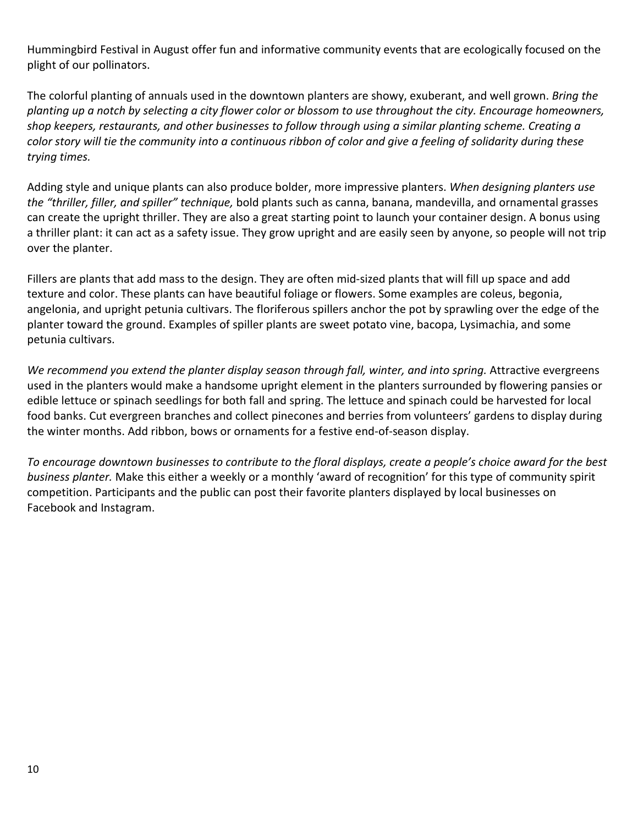Hummingbird Festival in August offer fun and informative community events that are ecologically focused on the plight of our pollinators.

The colorful planting of annuals used in the downtown planters are showy, exuberant, and well grown. *Bring the planting up a notch by selecting a city flower color or blossom to use throughout the city. Encourage homeowners, shop keepers, restaurants, and other businesses to follow through using a similar planting scheme. Creating a color story will tie the community into a continuous ribbon of color and give a feeling of solidarity during these trying times.* 

Adding style and unique plants can also produce bolder, more impressive planters. *When designing planters use the "thriller, filler, and spiller" technique,* bold plants such as canna, banana, mandevilla, and ornamental grasses can create the upright thriller. They are also a great starting point to launch your container design. A bonus using a thriller plant: it can act as a safety issue. They grow upright and are easily seen by anyone, so people will not trip over the planter.

Fillers are plants that add mass to the design. They are often mid-sized plants that will fill up space and add texture and color. These plants can have beautiful foliage or flowers. Some examples are coleus, begonia, angelonia, and upright petunia cultivars. The floriferous spillers anchor the pot by sprawling over the edge of the planter toward the ground. Examples of spiller plants are sweet potato vine, bacopa, Lysimachia, and some petunia cultivars.

*We recommend you extend the planter display season through fall, winter, and into spring.* Attractive evergreens used in the planters would make a handsome upright element in the planters surrounded by flowering pansies or edible lettuce or spinach seedlings for both fall and spring. The lettuce and spinach could be harvested for local food banks. Cut evergreen branches and collect pinecones and berries from volunteers' gardens to display during the winter months. Add ribbon, bows or ornaments for a festive end-of-season display.

*To encourage downtown businesses to contribute to the floral displays, create a people's choice award for the best business planter.* Make this either a weekly or a monthly 'award of recognition' for this type of community spirit competition. Participants and the public can post their favorite planters displayed by local businesses on Facebook and Instagram.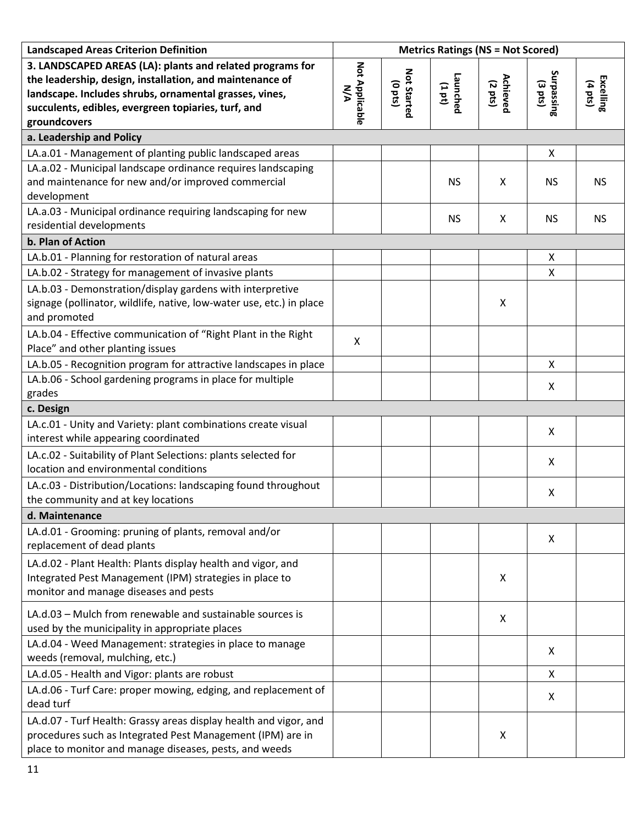| <b>Landscaped Areas Criterion Definition</b>                                                                                                                                                                                                           |                       |                           | <b>Metrics Ratings (NS = Not Scored)</b> |                     |                          |                      |
|--------------------------------------------------------------------------------------------------------------------------------------------------------------------------------------------------------------------------------------------------------|-----------------------|---------------------------|------------------------------------------|---------------------|--------------------------|----------------------|
| 3. LANDSCAPED AREAS (LA): plants and related programs for<br>the leadership, design, installation, and maintenance of<br>landscape. Includes shrubs, ornamental grasses, vines,<br>succulents, edibles, evergreen topiaries, turf, and<br>groundcovers | Not Applicable<br>N/A | Not Started<br>$($ c pts) | Launched<br>(1 pt)                       | Achieved<br>(2 pts) | Surpassing<br>Surpassing | Excelling<br>(4 pts) |
| a. Leadership and Policy                                                                                                                                                                                                                               |                       |                           |                                          |                     |                          |                      |
| LA.a.01 - Management of planting public landscaped areas                                                                                                                                                                                               |                       |                           |                                          |                     | X                        |                      |
| LA.a.02 - Municipal landscape ordinance requires landscaping<br>and maintenance for new and/or improved commercial<br>development                                                                                                                      |                       |                           | <b>NS</b>                                | X                   | <b>NS</b>                | <b>NS</b>            |
| LA.a.03 - Municipal ordinance requiring landscaping for new<br>residential developments                                                                                                                                                                |                       |                           | <b>NS</b>                                | X                   | <b>NS</b>                | <b>NS</b>            |
| b. Plan of Action                                                                                                                                                                                                                                      |                       |                           |                                          |                     |                          |                      |
| LA.b.01 - Planning for restoration of natural areas                                                                                                                                                                                                    |                       |                           |                                          |                     | X                        |                      |
| LA.b.02 - Strategy for management of invasive plants                                                                                                                                                                                                   |                       |                           |                                          |                     | X                        |                      |
| LA.b.03 - Demonstration/display gardens with interpretive<br>signage (pollinator, wildlife, native, low-water use, etc.) in place<br>and promoted                                                                                                      |                       |                           |                                          | X                   |                          |                      |
| LA.b.04 - Effective communication of "Right Plant in the Right<br>Place" and other planting issues                                                                                                                                                     | X                     |                           |                                          |                     |                          |                      |
| LA.b.05 - Recognition program for attractive landscapes in place                                                                                                                                                                                       |                       |                           |                                          |                     | X                        |                      |
| LA.b.06 - School gardening programs in place for multiple<br>grades                                                                                                                                                                                    |                       |                           |                                          |                     | X                        |                      |
| c. Design                                                                                                                                                                                                                                              |                       |                           |                                          |                     |                          |                      |
| LA.c.01 - Unity and Variety: plant combinations create visual<br>interest while appearing coordinated                                                                                                                                                  |                       |                           |                                          |                     | X                        |                      |
| LA.c.02 - Suitability of Plant Selections: plants selected for<br>location and environmental conditions                                                                                                                                                |                       |                           |                                          |                     | X                        |                      |
| LA.c.03 - Distribution/Locations: landscaping found throughout<br>the community and at key locations                                                                                                                                                   |                       |                           |                                          |                     | X                        |                      |
| d. Maintenance                                                                                                                                                                                                                                         |                       |                           |                                          |                     |                          |                      |
| LA.d.01 - Grooming: pruning of plants, removal and/or<br>replacement of dead plants                                                                                                                                                                    |                       |                           |                                          |                     | X                        |                      |
| LA.d.02 - Plant Health: Plants display health and vigor, and<br>Integrated Pest Management (IPM) strategies in place to<br>monitor and manage diseases and pests                                                                                       |                       |                           |                                          | X                   |                          |                      |
| LA.d.03 - Mulch from renewable and sustainable sources is<br>used by the municipality in appropriate places                                                                                                                                            |                       |                           |                                          | X                   |                          |                      |
| LA.d.04 - Weed Management: strategies in place to manage<br>weeds (removal, mulching, etc.)                                                                                                                                                            |                       |                           |                                          |                     | X                        |                      |
| LA.d.05 - Health and Vigor: plants are robust                                                                                                                                                                                                          |                       |                           |                                          |                     | X                        |                      |
| LA.d.06 - Turf Care: proper mowing, edging, and replacement of<br>dead turf                                                                                                                                                                            |                       |                           |                                          |                     | X                        |                      |
| LA.d.07 - Turf Health: Grassy areas display health and vigor, and<br>procedures such as Integrated Pest Management (IPM) are in<br>place to monitor and manage diseases, pests, and weeds                                                              |                       |                           |                                          | X                   |                          |                      |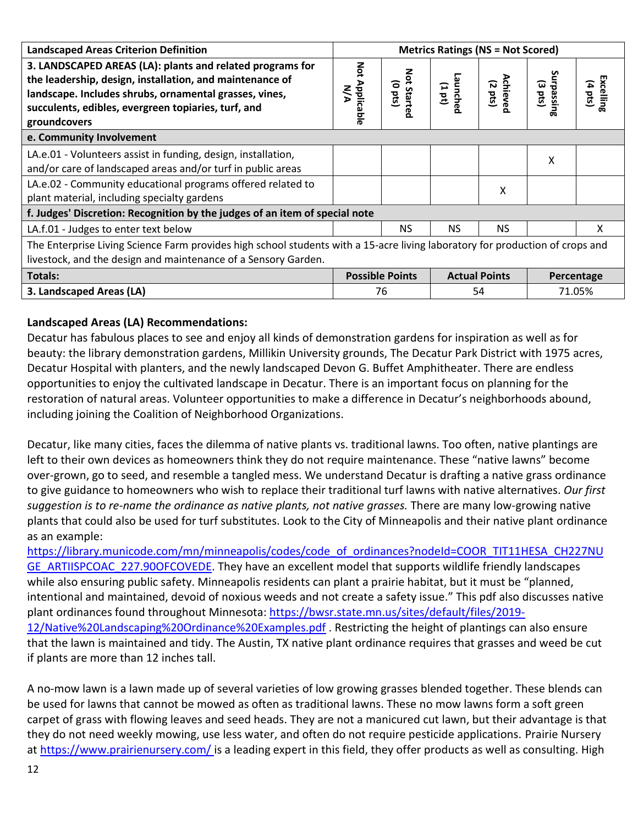| <b>Landscaped Areas Criterion Definition</b>                                                                                                                                                                                                           | <b>Metrics Ratings (NS = Not Scored)</b> |                                         |                      |                               |                                 |                                 |
|--------------------------------------------------------------------------------------------------------------------------------------------------------------------------------------------------------------------------------------------------------|------------------------------------------|-----------------------------------------|----------------------|-------------------------------|---------------------------------|---------------------------------|
| 3. LANDSCAPED AREAS (LA): plants and related programs for<br>the leadership, design, installation, and maintenance of<br>landscape. Includes shrubs, ornamental grasses, vines,<br>succulents, edibles, evergreen topiaries, turf, and<br>groundcovers | Not Applicable<br>N/A                    | Not<br>$($ sad 0)<br>Starte<br>$\Omega$ | Launched<br>(101)    | Achieved<br>$(2 \text{ pts})$ | Surpassing<br>$(3 \text{ pts})$ | Excelling<br>$(4 \text{ bits})$ |
| e. Community Involvement                                                                                                                                                                                                                               |                                          |                                         |                      |                               |                                 |                                 |
| LA.e.01 - Volunteers assist in funding, design, installation,<br>and/or care of landscaped areas and/or turf in public areas                                                                                                                           |                                          |                                         |                      |                               | X                               |                                 |
| LA.e.02 - Community educational programs offered related to<br>plant material, including specialty gardens                                                                                                                                             |                                          |                                         |                      | Χ                             |                                 |                                 |
| f. Judges' Discretion: Recognition by the judges of an item of special note                                                                                                                                                                            |                                          |                                         |                      |                               |                                 |                                 |
| LA.f.01 - Judges to enter text below                                                                                                                                                                                                                   |                                          | <b>NS</b>                               | <b>NS</b>            | <b>NS</b>                     |                                 | X                               |
| The Enterprise Living Science Farm provides high school students with a 15-acre living laboratory for production of crops and<br>livestock, and the design and maintenance of a Sensory Garden.                                                        |                                          |                                         |                      |                               |                                 |                                 |
| <b>Totals:</b>                                                                                                                                                                                                                                         |                                          | <b>Possible Points</b>                  | <b>Actual Points</b> |                               |                                 | Percentage                      |
| 3. Landscaped Areas (LA)                                                                                                                                                                                                                               | 76<br>54                                 |                                         |                      | 71.05%                        |                                 |                                 |

#### **Landscaped Areas (LA) Recommendations:**

Decatur has fabulous places to see and enjoy all kinds of demonstration gardens for inspiration as well as for beauty: the library demonstration gardens, Millikin University grounds, The Decatur Park District with 1975 acres, Decatur Hospital with planters, and the newly landscaped Devon G. Buffet Amphitheater. There are endless opportunities to enjoy the cultivated landscape in Decatur. There is an important focus on planning for the restoration of natural areas. Volunteer opportunities to make a difference in Decatur's neighborhoods abound, including joining the Coalition of Neighborhood Organizations.

Decatur, like many cities, faces the dilemma of native plants vs. traditional lawns. Too often, native plantings are left to their own devices as homeowners think they do not require maintenance. These "native lawns" become over-grown, go to seed, and resemble a tangled mess. We understand Decatur is drafting a native grass ordinance to give guidance to homeowners who wish to replace their traditional turf lawns with native alternatives. *Our first suggestion is to re-name the ordinance as native plants, not native grasses.* There are many low-growing native plants that could also be used for turf substitutes. Look to the City of Minneapolis and their native plant ordinance as an example:

[https://library.municode.com/mn/minneapolis/codes/code\\_of\\_ordinances?nodeId=COOR\\_TIT11HESA\\_CH227NU](https://library.municode.com/mn/minneapolis/codes/code_of_ordinances?nodeId=COOR_TIT11HESA_CH227NUGE_ARTIISPCOAC_227.90OFCOVEDE) [GE\\_ARTIISPCOAC\\_227.90OFCOVEDE.](https://library.municode.com/mn/minneapolis/codes/code_of_ordinances?nodeId=COOR_TIT11HESA_CH227NUGE_ARTIISPCOAC_227.90OFCOVEDE) They have an excellent model that supports wildlife friendly landscapes while also ensuring public safety. Minneapolis residents can plant a prairie habitat, but it must be "planned, intentional and maintained, devoid of noxious weeds and not create a safety issue." This pdf also discusses native plant ordinances found throughout Minnesota[: https://bwsr.state.mn.us/sites/default/files/2019-](https://bwsr.state.mn.us/sites/default/files/2019-12/Native%20Landscaping%20Ordinance%20Examples.pdf) [12/Native%20Landscaping%20Ordinance%20Examples.pdf](https://bwsr.state.mn.us/sites/default/files/2019-12/Native%20Landscaping%20Ordinance%20Examples.pdf) . Restricting the height of plantings can also ensure that the lawn is maintained and tidy. The Austin, TX native plant ordinance requires that grasses and weed be cut if plants are more than 12 inches tall.

A no-mow lawn is a lawn made up of several varieties of low growing grasses blended together. These blends can be used for lawns that cannot be mowed as often as traditional lawns. These no mow lawns form a soft green carpet of grass with flowing leaves and seed heads. They are not a manicured cut lawn, but their advantage is that they do not need weekly mowing, use less water, and often do not require pesticide applications. Prairie Nursery at<https://www.prairienursery.com/> is a leading expert in this field, they offer products as well as consulting. High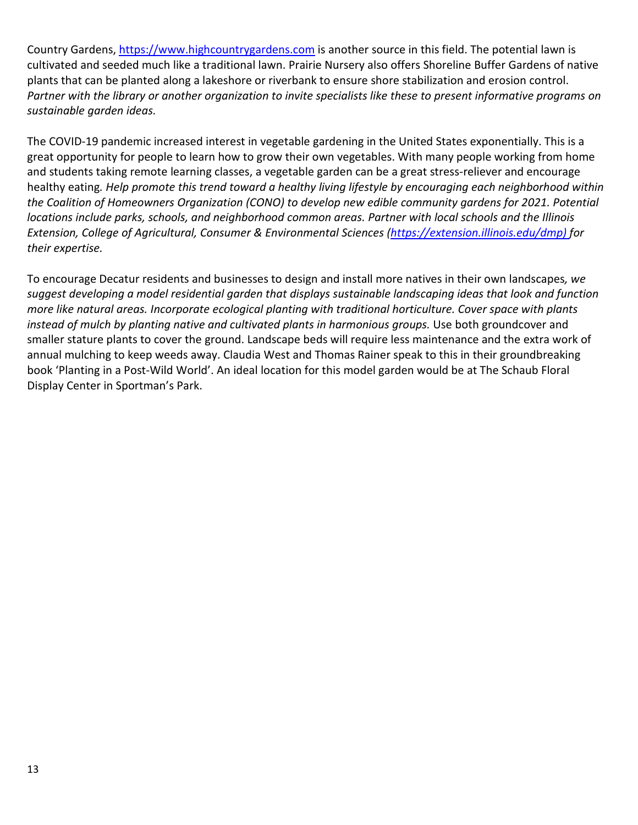Country Gardens, [https://www.highcountrygardens.com](https://www.highcountrygardens.com/) is another source in this field. The potential lawn is cultivated and seeded much like a traditional lawn. Prairie Nursery also offers Shoreline Buffer Gardens of native plants that can be planted along a lakeshore or riverbank to ensure shore stabilization and erosion control. Partner with the library or another organization to invite specialists like these to present informative programs on *sustainable garden ideas.* 

The COVID-19 pandemic increased interest in vegetable gardening in the United States exponentially. This is a great opportunity for people to learn how to grow their own vegetables. With many people working from home and students taking remote learning classes, a vegetable garden can be a great stress-reliever and encourage healthy eating*. Help promote this trend toward a healthy living lifestyle by encouraging each neighborhood within the Coalition of Homeowners Organization (CONO) to develop new edible community gardens for 2021. Potential locations include parks, schools, and neighborhood common areas. Partner with local schools and the Illinois Extension, College of Agricultural, Consumer & Environmental Sciences [\(https://extension.illinois.edu/dmp\)](https://extension.illinois.edu/dmp) for their expertise.* 

To encourage Decatur residents and businesses to design and install more natives in their own landscapes*, we suggest developing a model residential garden that displays sustainable landscaping ideas that look and function more like natural areas. Incorporate ecological planting with traditional horticulture. Cover space with plants instead of mulch by planting native and cultivated plants in harmonious groups.* Use both groundcover and smaller stature plants to cover the ground. Landscape beds will require less maintenance and the extra work of annual mulching to keep weeds away. Claudia West and Thomas Rainer speak to this in their groundbreaking book 'Planting in a Post-Wild World'. An ideal location for this model garden would be at The Schaub Floral Display Center in Sportman's Park.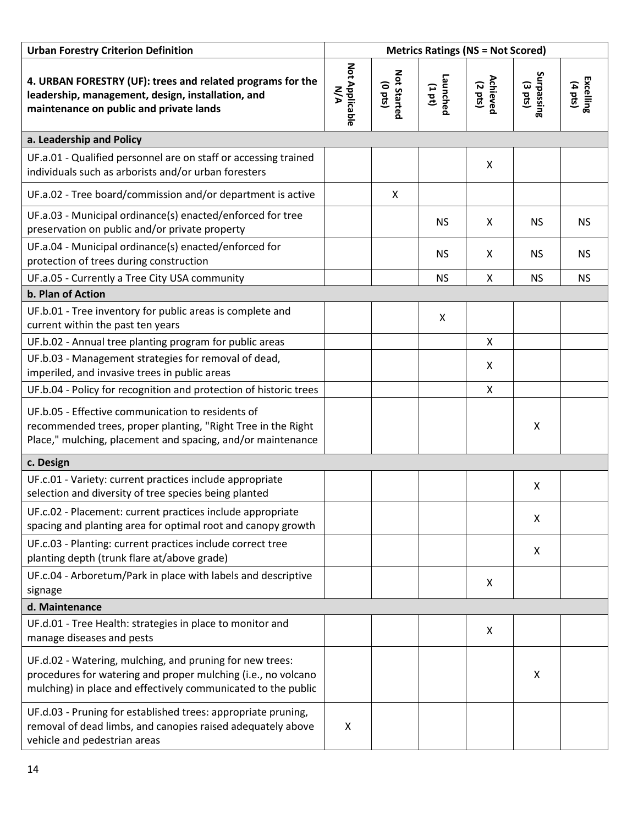| <b>Urban Forestry Criterion Definition</b>                                                                                                                                                 | <b>Metrics Ratings (NS = Not Scored)</b> |                              |                    |                               |                                 |                      |
|--------------------------------------------------------------------------------------------------------------------------------------------------------------------------------------------|------------------------------------------|------------------------------|--------------------|-------------------------------|---------------------------------|----------------------|
| 4. URBAN FORESTRY (UF): trees and related programs for the<br>leadership, management, design, installation, and<br>maintenance on public and private lands                                 | Not Applicable<br>N/A                    | Not Started<br>$($ o pts $)$ | Launched<br>(1 pt) | Achieved<br>$(2 \text{ pts})$ | Surpassing<br>$(3 \text{ pts})$ | Excelling<br>(4 pts) |
| a. Leadership and Policy                                                                                                                                                                   |                                          |                              |                    |                               |                                 |                      |
| UF.a.01 - Qualified personnel are on staff or accessing trained<br>individuals such as arborists and/or urban foresters                                                                    |                                          |                              |                    | X                             |                                 |                      |
| UF.a.02 - Tree board/commission and/or department is active                                                                                                                                |                                          | X                            |                    |                               |                                 |                      |
| UF.a.03 - Municipal ordinance(s) enacted/enforced for tree<br>preservation on public and/or private property                                                                               |                                          |                              | <b>NS</b>          | X                             | <b>NS</b>                       | <b>NS</b>            |
| UF.a.04 - Municipal ordinance(s) enacted/enforced for<br>protection of trees during construction                                                                                           |                                          |                              | <b>NS</b>          | X                             | <b>NS</b>                       | <b>NS</b>            |
| UF.a.05 - Currently a Tree City USA community                                                                                                                                              |                                          |                              | <b>NS</b>          | X                             | <b>NS</b>                       | <b>NS</b>            |
| b. Plan of Action                                                                                                                                                                          |                                          |                              |                    |                               |                                 |                      |
| UF.b.01 - Tree inventory for public areas is complete and<br>current within the past ten years                                                                                             |                                          |                              | X                  |                               |                                 |                      |
| UF.b.02 - Annual tree planting program for public areas                                                                                                                                    |                                          |                              |                    | X                             |                                 |                      |
| UF.b.03 - Management strategies for removal of dead,<br>imperiled, and invasive trees in public areas                                                                                      |                                          |                              |                    | X                             |                                 |                      |
| UF.b.04 - Policy for recognition and protection of historic trees                                                                                                                          |                                          |                              |                    | X                             |                                 |                      |
| UF.b.05 - Effective communication to residents of<br>recommended trees, proper planting, "Right Tree in the Right<br>Place," mulching, placement and spacing, and/or maintenance           |                                          |                              |                    |                               | X                               |                      |
| c. Design                                                                                                                                                                                  |                                          |                              |                    |                               |                                 |                      |
| UF.c.01 - Variety: current practices include appropriate<br>selection and diversity of tree species being planted                                                                          |                                          |                              |                    |                               | X                               |                      |
| UF.c.02 - Placement: current practices include appropriate<br>spacing and planting area for optimal root and canopy growth                                                                 |                                          |                              |                    |                               | X                               |                      |
| UF.c.03 - Planting: current practices include correct tree<br>planting depth (trunk flare at/above grade)                                                                                  |                                          |                              |                    |                               | X                               |                      |
| UF.c.04 - Arboretum/Park in place with labels and descriptive<br>signage                                                                                                                   |                                          |                              |                    | X                             |                                 |                      |
| d. Maintenance                                                                                                                                                                             |                                          |                              |                    |                               |                                 |                      |
| UF.d.01 - Tree Health: strategies in place to monitor and<br>manage diseases and pests                                                                                                     |                                          |                              |                    | X                             |                                 |                      |
| UF.d.02 - Watering, mulching, and pruning for new trees:<br>procedures for watering and proper mulching (i.e., no volcano<br>mulching) in place and effectively communicated to the public |                                          |                              |                    |                               | X                               |                      |
| UF.d.03 - Pruning for established trees: appropriate pruning,<br>removal of dead limbs, and canopies raised adequately above<br>vehicle and pedestrian areas                               | X                                        |                              |                    |                               |                                 |                      |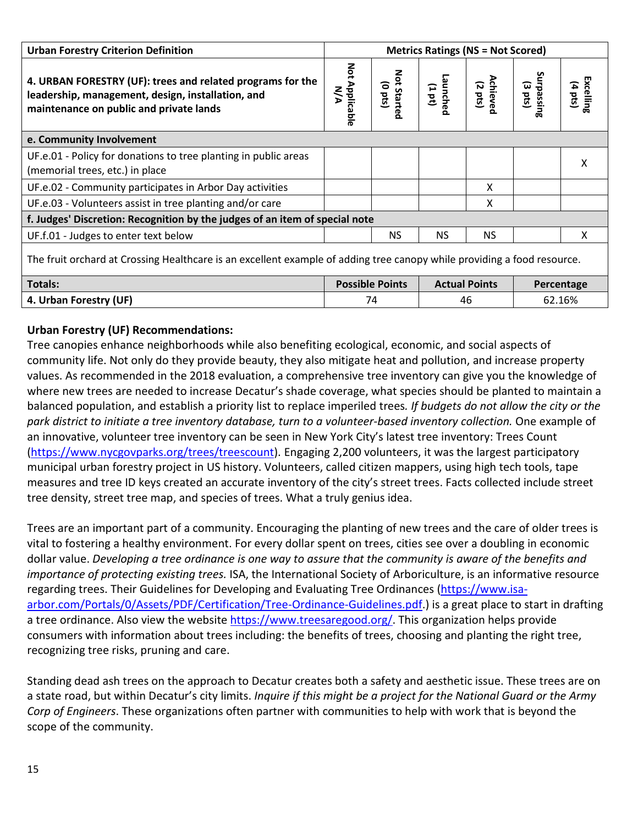| <b>Urban Forestry Criterion Definition</b>                                                                                                                 |                        | <b>Metrics Ratings (NS = Not Scored)</b> |                      |                                      |                       |                                |
|------------------------------------------------------------------------------------------------------------------------------------------------------------|------------------------|------------------------------------------|----------------------|--------------------------------------|-----------------------|--------------------------------|
| 4. URBAN FORESTRY (UF): trees and related programs for the<br>leadership, management, design, installation, and<br>maintenance on public and private lands | Not Applicable<br>N/A  | Not Starte<br>(o pts)                    | Launche<br>(101)     | <b>Achiever</b><br>$(2 \text{ pts})$ | Surpassing<br>(3 pts) | Excelling<br>$(4 \text{ pts})$ |
| e. Community Involvement                                                                                                                                   |                        |                                          |                      |                                      |                       |                                |
| UF.e.01 - Policy for donations to tree planting in public areas<br>(memorial trees, etc.) in place                                                         |                        |                                          |                      |                                      |                       | X                              |
| UF.e.02 - Community participates in Arbor Day activities                                                                                                   |                        |                                          |                      | X                                    |                       |                                |
| UF.e.03 - Volunteers assist in tree planting and/or care                                                                                                   |                        |                                          |                      | X                                    |                       |                                |
| f. Judges' Discretion: Recognition by the judges of an item of special note                                                                                |                        |                                          |                      |                                      |                       |                                |
| UF.f.01 - Judges to enter text below                                                                                                                       |                        | <b>NS</b>                                | <b>NS</b>            | <b>NS</b>                            |                       | x                              |
| The fruit orchard at Crossing Healthcare is an excellent example of adding tree canopy while providing a food resource.                                    |                        |                                          |                      |                                      |                       |                                |
| <b>Totals:</b>                                                                                                                                             | <b>Possible Points</b> |                                          | <b>Actual Points</b> |                                      | Percentage            |                                |
| 4. Urban Forestry (UF)                                                                                                                                     | 74<br>46               |                                          |                      | 62.16%                               |                       |                                |

#### **Urban Forestry (UF) Recommendations:**

Tree canopies enhance neighborhoods while also benefiting ecological, economic, and social aspects of community life. Not only do they provide beauty, they also mitigate heat and pollution, and increase property values. As recommended in the 2018 evaluation, a comprehensive tree inventory can give you the knowledge of where new trees are needed to increase Decatur's shade coverage, what species should be planted to maintain a balanced population, and establish a priority list to replace imperiled trees*. If budgets do not allow the city or the park district to initiate a tree inventory database, turn to a volunteer-based inventory collection.* One example of an innovative, volunteer tree inventory can be seen in New York City's latest tree inventory: Trees Count [\(https://www.nycgovparks.org/trees/treescount\)](https://www.nycgovparks.org/trees/treescount). Engaging 2,200 volunteers, it was the largest participatory municipal urban forestry project in US history. Volunteers, called citizen mappers, using high tech tools, tape measures and tree ID keys created an accurate inventory of the city's street trees. Facts collected include street tree density, street tree map, and species of trees. What a truly genius idea.

Trees are an important part of a community. Encouraging the planting of new trees and the care of older trees is vital to fostering a healthy environment. For every dollar spent on trees, cities see over a doubling in economic dollar value. *Developing a tree ordinance is one way to assure that the community is aware of the benefits and importance of protecting existing trees.* ISA, the International Society of Arboriculture, is an informative resource regarding trees. Their Guidelines for Developing and Evaluating Tree Ordinances [\(https://www.isa](https://www.isa-arbor.com/Portals/0/Assets/PDF/Certification/Tree-Ordinance-Guidelines.pdf)[arbor.com/Portals/0/Assets/PDF/Certification/Tree-Ordinance-Guidelines.pdf.](https://www.isa-arbor.com/Portals/0/Assets/PDF/Certification/Tree-Ordinance-Guidelines.pdf)) is a great place to start in drafting a tree ordinance. Also view the website [https://www.treesaregood.org/.](https://www.treesaregood.org/) This organization helps provide consumers with information about trees including: the benefits of trees, choosing and planting the right tree, recognizing tree risks, pruning and care.

Standing dead ash trees on the approach to Decatur creates both a safety and aesthetic issue. These trees are on a state road, but within Decatur's city limits. *Inquire if this might be a project for the National Guard or the Army Corp of Engineers*. These organizations often partner with communities to help with work that is beyond the scope of the community.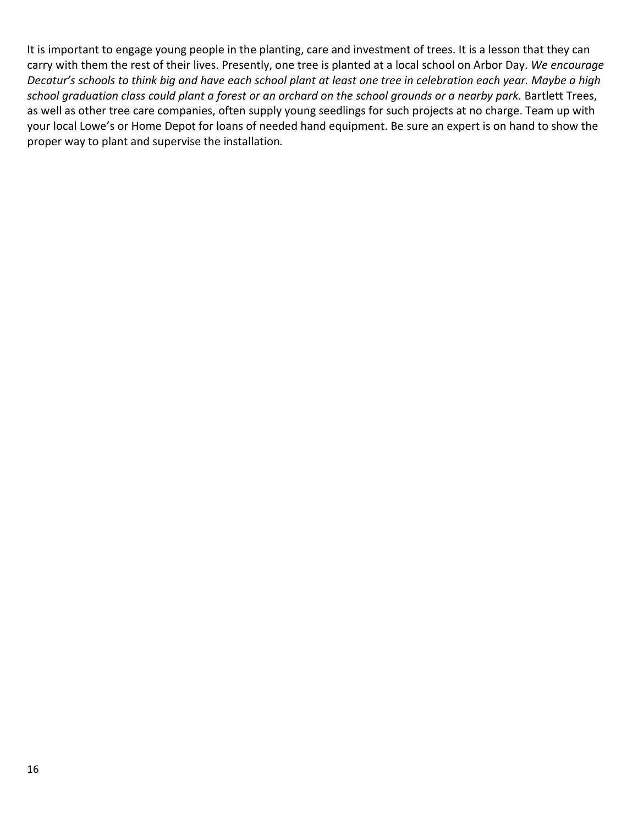It is important to engage young people in the planting, care and investment of trees. It is a lesson that they can carry with them the rest of their lives. Presently, one tree is planted at a local school on Arbor Day. *We encourage Decatur's schools to think big and have each school plant at least one tree in celebration each year. Maybe a high school graduation class could plant a forest or an orchard on the school grounds or a nearby park.* Bartlett Trees, as well as other tree care companies, often supply young seedlings for such projects at no charge. Team up with your local Lowe's or Home Depot for loans of needed hand equipment. Be sure an expert is on hand to show the proper way to plant and supervise the installation*.*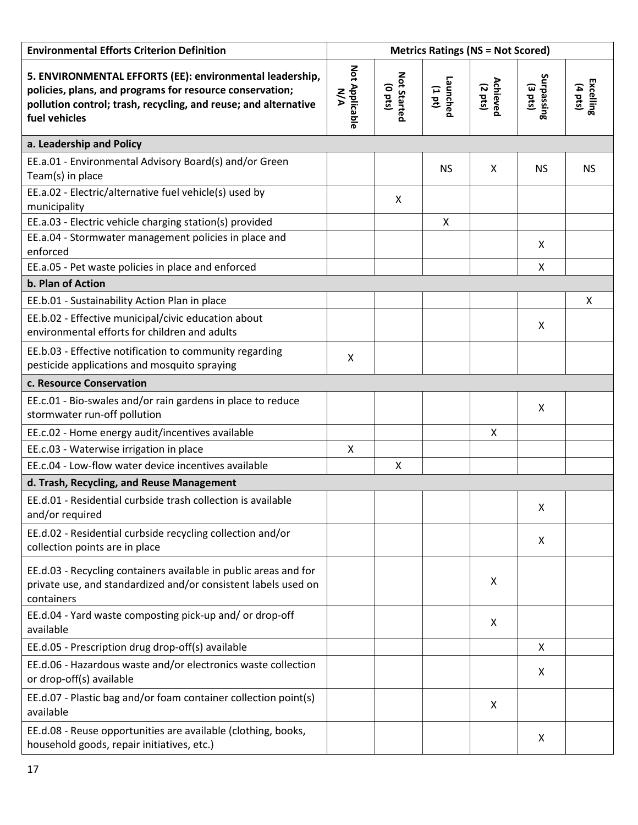| <b>Environmental Efforts Criterion Definition</b>                                                                                                                                                        | <b>Metrics Ratings (NS = Not Scored)</b> |                                 |                    |                     |                       |                      |
|----------------------------------------------------------------------------------------------------------------------------------------------------------------------------------------------------------|------------------------------------------|---------------------------------|--------------------|---------------------|-----------------------|----------------------|
| 5. ENVIRONMENTAL EFFORTS (EE): environmental leadership,<br>policies, plans, and programs for resource conservation;<br>pollution control; trash, recycling, and reuse; and alternative<br>fuel vehicles | Not Applicable<br><b>N/A</b>             | Not Started<br>$(0 \text{ pt})$ | Launched<br>(1 pt) | Achieved<br>(2 pts) | Surpassing<br>(3 pts) | Excelling<br>(4 pts) |
| a. Leadership and Policy                                                                                                                                                                                 |                                          |                                 |                    |                     |                       |                      |
| EE.a.01 - Environmental Advisory Board(s) and/or Green<br>Team(s) in place                                                                                                                               |                                          |                                 | <b>NS</b>          | X                   | <b>NS</b>             | <b>NS</b>            |
| EE.a.02 - Electric/alternative fuel vehicle(s) used by<br>municipality                                                                                                                                   |                                          | X                               |                    |                     |                       |                      |
| EE.a.03 - Electric vehicle charging station(s) provided                                                                                                                                                  |                                          |                                 | $\mathsf{X}$       |                     |                       |                      |
| EE.a.04 - Stormwater management policies in place and<br>enforced                                                                                                                                        |                                          |                                 |                    |                     | X                     |                      |
| EE.a.05 - Pet waste policies in place and enforced                                                                                                                                                       |                                          |                                 |                    |                     | X                     |                      |
| b. Plan of Action                                                                                                                                                                                        |                                          |                                 |                    |                     |                       |                      |
| EE.b.01 - Sustainability Action Plan in place                                                                                                                                                            |                                          |                                 |                    |                     |                       | X                    |
| EE.b.02 - Effective municipal/civic education about<br>environmental efforts for children and adults                                                                                                     |                                          |                                 |                    |                     | X                     |                      |
| EE.b.03 - Effective notification to community regarding<br>pesticide applications and mosquito spraying                                                                                                  | X                                        |                                 |                    |                     |                       |                      |
| c. Resource Conservation                                                                                                                                                                                 |                                          |                                 |                    |                     |                       |                      |
| EE.c.01 - Bio-swales and/or rain gardens in place to reduce<br>stormwater run-off pollution                                                                                                              |                                          |                                 |                    |                     | X                     |                      |
| EE.c.02 - Home energy audit/incentives available                                                                                                                                                         |                                          |                                 |                    | X                   |                       |                      |
| EE.c.03 - Waterwise irrigation in place                                                                                                                                                                  | Χ                                        |                                 |                    |                     |                       |                      |
| EE.c.04 - Low-flow water device incentives available                                                                                                                                                     |                                          | X                               |                    |                     |                       |                      |
| d. Trash, Recycling, and Reuse Management                                                                                                                                                                |                                          |                                 |                    |                     |                       |                      |
| EE.d.01 - Residential curbside trash collection is available<br>and/or required                                                                                                                          |                                          |                                 |                    |                     | Χ                     |                      |
| EE.d.02 - Residential curbside recycling collection and/or<br>collection points are in place                                                                                                             |                                          |                                 |                    |                     | X                     |                      |
| EE.d.03 - Recycling containers available in public areas and for<br>private use, and standardized and/or consistent labels used on<br>containers                                                         |                                          |                                 |                    | X                   |                       |                      |
| EE.d.04 - Yard waste composting pick-up and/ or drop-off<br>available                                                                                                                                    |                                          |                                 |                    | X                   |                       |                      |
| EE.d.05 - Prescription drug drop-off(s) available                                                                                                                                                        |                                          |                                 |                    |                     | X                     |                      |
| EE.d.06 - Hazardous waste and/or electronics waste collection<br>or drop-off(s) available                                                                                                                |                                          |                                 |                    |                     | X                     |                      |
| EE.d.07 - Plastic bag and/or foam container collection point(s)<br>available                                                                                                                             |                                          |                                 |                    | X                   |                       |                      |
| EE.d.08 - Reuse opportunities are available (clothing, books,<br>household goods, repair initiatives, etc.)                                                                                              |                                          |                                 |                    |                     | X                     |                      |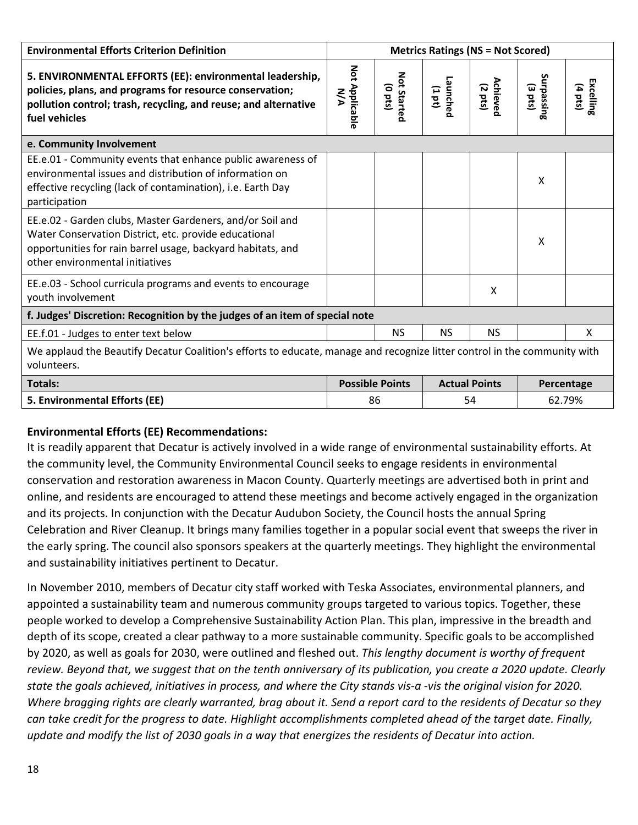| <b>Environmental Efforts Criterion Definition</b>                                                                                                                                                                    | <b>Metrics Ratings (NS = Not Scored)</b>                     |                           |                    |                                      |                                 |                                |  |
|----------------------------------------------------------------------------------------------------------------------------------------------------------------------------------------------------------------------|--------------------------------------------------------------|---------------------------|--------------------|--------------------------------------|---------------------------------|--------------------------------|--|
| 5. ENVIRONMENTAL EFFORTS (EE): environmental leadership,<br>policies, plans, and programs for resource conservation;<br>pollution control; trash, recycling, and reuse; and alternative<br>fuel vehicles             | Not Applicable<br><b>NA</b>                                  | Not Started<br>$($ o pts) | Launched<br>(1 pt) | <b>Achieved</b><br>$(2 \text{ pts})$ | Surpassing<br>$(3 \text{ pts})$ | Excelling<br>$(4 \text{ pts})$ |  |
| e. Community Involvement                                                                                                                                                                                             |                                                              |                           |                    |                                      |                                 |                                |  |
| EE.e.01 - Community events that enhance public awareness of<br>environmental issues and distribution of information on<br>effective recycling (lack of contamination), i.e. Earth Day<br>participation               |                                                              |                           |                    |                                      | X                               |                                |  |
| EE.e.02 - Garden clubs, Master Gardeners, and/or Soil and<br>Water Conservation District, etc. provide educational<br>opportunities for rain barrel usage, backyard habitats, and<br>other environmental initiatives |                                                              |                           |                    |                                      | $\times$                        |                                |  |
| EE.e.03 - School curricula programs and events to encourage<br>youth involvement                                                                                                                                     |                                                              |                           |                    | $\boldsymbol{\mathsf{X}}$            |                                 |                                |  |
| f. Judges' Discretion: Recognition by the judges of an item of special note                                                                                                                                          |                                                              |                           |                    |                                      |                                 |                                |  |
| EE.f.01 - Judges to enter text below                                                                                                                                                                                 |                                                              | <b>NS</b>                 | <b>NS</b>          | <b>NS</b>                            |                                 | X                              |  |
| We applaud the Beautify Decatur Coalition's efforts to educate, manage and recognize litter control in the community with<br>volunteers.                                                                             |                                                              |                           |                    |                                      |                                 |                                |  |
| <b>Totals:</b>                                                                                                                                                                                                       | <b>Possible Points</b><br><b>Actual Points</b><br>Percentage |                           |                    |                                      |                                 |                                |  |
| 5. Environmental Efforts (EE)                                                                                                                                                                                        | 86<br>54                                                     |                           | 62.79%             |                                      |                                 |                                |  |

## **Environmental Efforts (EE) Recommendations:**

It is readily apparent that Decatur is actively involved in a wide range of environmental sustainability efforts. At the community level, the Community Environmental Council seeks to engage residents in environmental conservation and restoration awareness in Macon County. Quarterly meetings are advertised both in print and online, and residents are encouraged to attend these meetings and become actively engaged in the organization and its projects. In conjunction with the Decatur Audubon Society, the Council hosts the annual Spring Celebration and River Cleanup. It brings many families together in a popular social event that sweeps the river in the early spring. The council also sponsors speakers at the quarterly meetings. They highlight the environmental and sustainability initiatives pertinent to Decatur.

In November 2010, members of Decatur city staff worked with Teska Associates, environmental planners, and appointed a sustainability team and numerous community groups targeted to various topics. Together, these people worked to develop a Comprehensive Sustainability Action Plan. This plan, impressive in the breadth and depth of its scope, created a clear pathway to a more sustainable community. Specific goals to be accomplished by 2020, as well as goals for 2030, were outlined and fleshed out. *This lengthy document is worthy of frequent review. Beyond that, we suggest that on the tenth anniversary of its publication, you create a 2020 update. Clearly state the goals achieved, initiatives in process, and where the City stands vis-a -vis the original vision for 2020. Where bragging rights are clearly warranted, brag about it. Send a report card to the residents of Decatur so they can take credit for the progress to date. Highlight accomplishments completed ahead of the target date. Finally, update and modify the list of 2030 goals in a way that energizes the residents of Decatur into action.*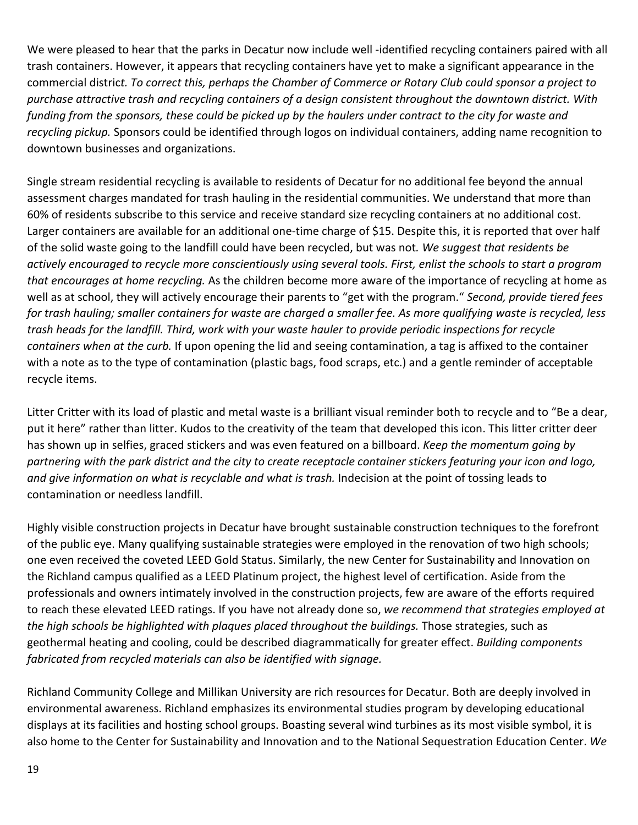We were pleased to hear that the parks in Decatur now include well -identified recycling containers paired with all trash containers. However, it appears that recycling containers have yet to make a significant appearance in the commercial distric*t. To correct this, perhaps the Chamber of Commerce or Rotary Club could sponsor a project to purchase attractive trash and recycling containers of a design consistent throughout the downtown district. With funding from the sponsors, these could be picked up by the haulers under contract to the city for waste and recycling pickup.* Sponsors could be identified through logos on individual containers, adding name recognition to downtown businesses and organizations.

Single stream residential recycling is available to residents of Decatur for no additional fee beyond the annual assessment charges mandated for trash hauling in the residential communities. We understand that more than 60% of residents subscribe to this service and receive standard size recycling containers at no additional cost. Larger containers are available for an additional one-time charge of \$15. Despite this, it is reported that over half of the solid waste going to the landfill could have been recycled, but was not*. We suggest that residents be actively encouraged to recycle more conscientiously using several tools. First, enlist the schools to start a program that encourages at home recycling.* As the children become more aware of the importance of recycling at home as well as at school, they will actively encourage their parents to "get with the program." *Second, provide tiered fees for trash hauling; smaller containers for waste are charged a smaller fee. As more qualifying waste is recycled, less trash heads for the landfill. Third, work with your waste hauler to provide periodic inspections for recycle containers when at the curb.* If upon opening the lid and seeing contamination, a tag is affixed to the container with a note as to the type of contamination (plastic bags, food scraps, etc.) and a gentle reminder of acceptable recycle items.

Litter Critter with its load of plastic and metal waste is a brilliant visual reminder both to recycle and to "Be a dear, put it here" rather than litter. Kudos to the creativity of the team that developed this icon. This litter critter deer has shown up in selfies, graced stickers and was even featured on a billboard. *Keep the momentum going by partnering with the park district and the city to create receptacle container stickers featuring your icon and logo, and give information on what is recyclable and what is trash.* Indecision at the point of tossing leads to contamination or needless landfill.

Highly visible construction projects in Decatur have brought sustainable construction techniques to the forefront of the public eye. Many qualifying sustainable strategies were employed in the renovation of two high schools; one even received the coveted LEED Gold Status. Similarly, the new Center for Sustainability and Innovation on the Richland campus qualified as a LEED Platinum project, the highest level of certification. Aside from the professionals and owners intimately involved in the construction projects, few are aware of the efforts required to reach these elevated LEED ratings. If you have not already done so, *we recommend that strategies employed at the high schools be highlighted with plaques placed throughout the buildings.* Those strategies, such as geothermal heating and cooling, could be described diagrammatically for greater effect. *Building components fabricated from recycled materials can also be identified with signage.*

Richland Community College and Millikan University are rich resources for Decatur. Both are deeply involved in environmental awareness. Richland emphasizes its environmental studies program by developing educational displays at its facilities and hosting school groups. Boasting several wind turbines as its most visible symbol, it is also home to the Center for Sustainability and Innovation and to the National Sequestration Education Center. *We*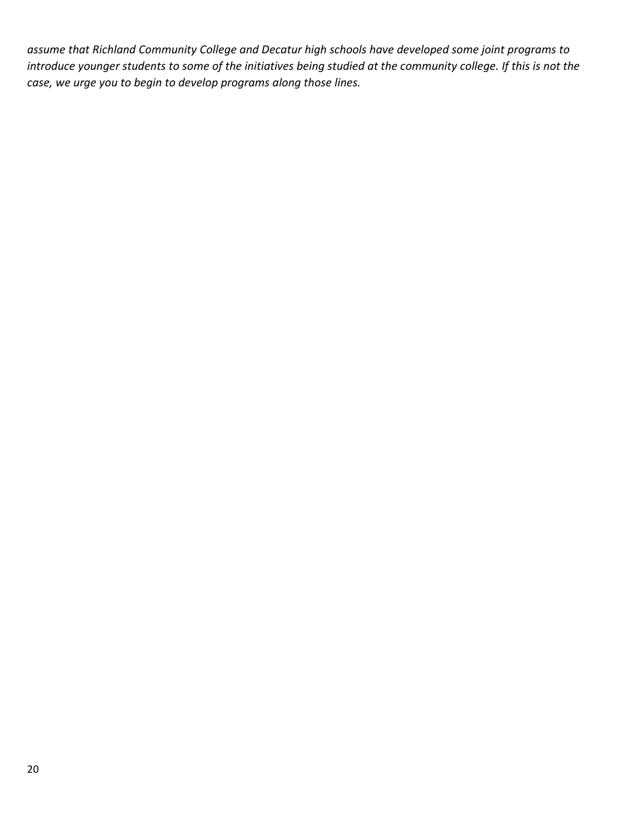*assume that Richland Community College and Decatur high schools have developed some joint programs to introduce younger students to some of the initiatives being studied at the community college. If this is not the case, we urge you to begin to develop programs along those lines.*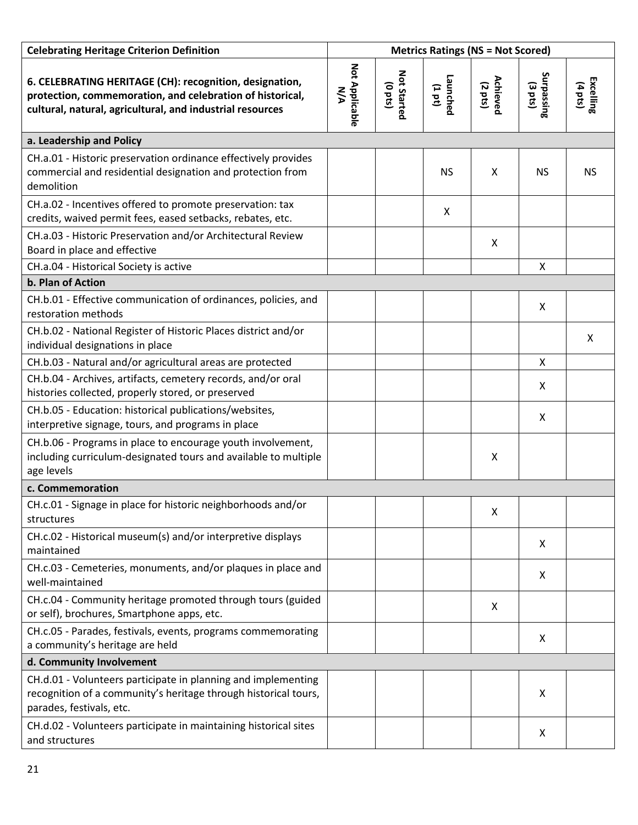| <b>Celebrating Heritage Criterion Definition</b>                                                                                                                                  | <b>Metrics Ratings (NS = Not Scored)</b> |                           |                           |                           |                                        |                      |
|-----------------------------------------------------------------------------------------------------------------------------------------------------------------------------------|------------------------------------------|---------------------------|---------------------------|---------------------------|----------------------------------------|----------------------|
| 6. CELEBRATING HERITAGE (CH): recognition, designation,<br>protection, commemoration, and celebration of historical,<br>cultural, natural, agricultural, and industrial resources | Not Applicable<br><b>N/A</b>             | Not Started<br>$($ sad O) | Launched<br>(1 pt)        | Achieved<br>(2 pts)       | <b>Surpassing</b><br>$(3 \text{ pts})$ | Excelling<br>(4 pts) |
| a. Leadership and Policy                                                                                                                                                          |                                          |                           |                           |                           |                                        |                      |
| CH.a.01 - Historic preservation ordinance effectively provides<br>commercial and residential designation and protection from<br>demolition                                        |                                          |                           | <b>NS</b>                 | X                         | <b>NS</b>                              | <b>NS</b>            |
| CH.a.02 - Incentives offered to promote preservation: tax<br>credits, waived permit fees, eased setbacks, rebates, etc.                                                           |                                          |                           | $\boldsymbol{\mathsf{X}}$ |                           |                                        |                      |
| CH.a.03 - Historic Preservation and/or Architectural Review<br>Board in place and effective                                                                                       |                                          |                           |                           | $\boldsymbol{\mathsf{X}}$ |                                        |                      |
| CH.a.04 - Historical Society is active                                                                                                                                            |                                          |                           |                           |                           | X                                      |                      |
| b. Plan of Action                                                                                                                                                                 |                                          |                           |                           |                           |                                        |                      |
| CH.b.01 - Effective communication of ordinances, policies, and<br>restoration methods                                                                                             |                                          |                           |                           |                           | X                                      |                      |
| CH.b.02 - National Register of Historic Places district and/or<br>individual designations in place                                                                                |                                          |                           |                           |                           |                                        | X                    |
| CH.b.03 - Natural and/or agricultural areas are protected                                                                                                                         |                                          |                           |                           |                           | X                                      |                      |
| CH.b.04 - Archives, artifacts, cemetery records, and/or oral<br>histories collected, properly stored, or preserved                                                                |                                          |                           |                           |                           | X                                      |                      |
| CH.b.05 - Education: historical publications/websites,<br>interpretive signage, tours, and programs in place                                                                      |                                          |                           |                           |                           | X                                      |                      |
| CH.b.06 - Programs in place to encourage youth involvement,<br>including curriculum-designated tours and available to multiple<br>age levels                                      |                                          |                           |                           | X                         |                                        |                      |
| c. Commemoration                                                                                                                                                                  |                                          |                           |                           |                           |                                        |                      |
| CH.c.01 - Signage in place for historic neighborhoods and/or<br>structures                                                                                                        |                                          |                           |                           | X                         |                                        |                      |
| CH.c.02 - Historical museum(s) and/or interpretive displays<br>maintained                                                                                                         |                                          |                           |                           |                           | X                                      |                      |
| CH.c.03 - Cemeteries, monuments, and/or plaques in place and<br>well-maintained                                                                                                   |                                          |                           |                           |                           | X                                      |                      |
| CH.c.04 - Community heritage promoted through tours (guided<br>or self), brochures, Smartphone apps, etc.                                                                         |                                          |                           |                           | X                         |                                        |                      |
| CH.c.05 - Parades, festivals, events, programs commemorating<br>a community's heritage are held                                                                                   |                                          |                           |                           |                           | X                                      |                      |
| d. Community Involvement                                                                                                                                                          |                                          |                           |                           |                           |                                        |                      |
| CH.d.01 - Volunteers participate in planning and implementing<br>recognition of a community's heritage through historical tours,<br>parades, festivals, etc.                      |                                          |                           |                           |                           | X                                      |                      |
| CH.d.02 - Volunteers participate in maintaining historical sites<br>and structures                                                                                                |                                          |                           |                           |                           | X                                      |                      |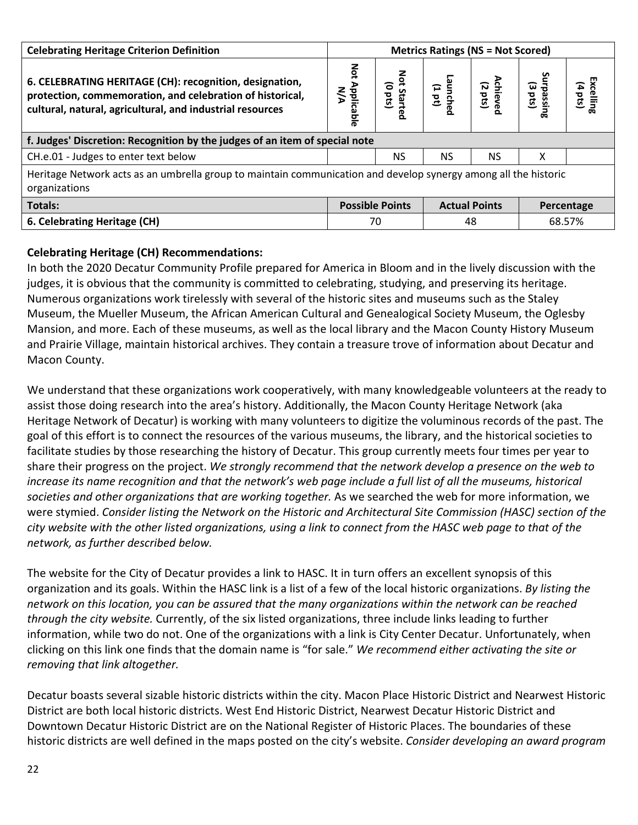| <b>Celebrating Heritage Criterion Definition</b>                                                                                                                                  | <b>Metrics Ratings (NS = Not Scored)</b> |                                |                      |                         |                     |                                    |  |
|-----------------------------------------------------------------------------------------------------------------------------------------------------------------------------------|------------------------------------------|--------------------------------|----------------------|-------------------------|---------------------|------------------------------------|--|
| 6. CELEBRATING HERITAGE (CH): recognition, designation,<br>protection, commemoration, and celebration of historical,<br>cultural, natural, agricultural, and industrial resources | Not<br>Applicable<br>$\frac{5}{5}$       | Not<br>(sts)<br><b>Started</b> | aunched<br>(1 pt)    | Achieve<br>(2 pts)<br>— | ົພ<br>Lpass<br>(sid | ш<br>xcelling<br>$(4 \text{ pts})$ |  |
| f. Judges' Discretion: Recognition by the judges of an item of special note                                                                                                       |                                          |                                |                      |                         |                     |                                    |  |
| CH.e.01 - Judges to enter text below                                                                                                                                              |                                          | NS.                            | <b>NS</b>            | <b>NS</b>               | x                   |                                    |  |
| Heritage Network acts as an umbrella group to maintain communication and develop synergy among all the historic<br>organizations                                                  |                                          |                                |                      |                         |                     |                                    |  |
| <b>Totals:</b>                                                                                                                                                                    | <b>Possible Points</b>                   |                                | <b>Actual Points</b> |                         | Percentage          |                                    |  |
| 6. Celebrating Heritage (CH)                                                                                                                                                      | 70                                       |                                | 48                   |                         | 68.57%              |                                    |  |

#### **Celebrating Heritage (CH) Recommendations:**

In both the 2020 Decatur Community Profile prepared for America in Bloom and in the lively discussion with the judges, it is obvious that the community is committed to celebrating, studying, and preserving its heritage. Numerous organizations work tirelessly with several of the historic sites and museums such as the Staley Museum, the Mueller Museum, the African American Cultural and Genealogical Society Museum, the Oglesby Mansion, and more. Each of these museums, as well as the local library and the Macon County History Museum and Prairie Village, maintain historical archives. They contain a treasure trove of information about Decatur and Macon County.

We understand that these organizations work cooperatively, with many knowledgeable volunteers at the ready to assist those doing research into the area's history. Additionally, the Macon County Heritage Network (aka Heritage Network of Decatur) is working with many volunteers to digitize the voluminous records of the past. The goal of this effort is to connect the resources of the various museums, the library, and the historical societies to facilitate studies by those researching the history of Decatur. This group currently meets four times per year to share their progress on the project. *We strongly recommend that the network develop a presence on the web to increase its name recognition and that the network's web page include a full list of all the museums, historical societies and other organizations that are working together.* As we searched the web for more information, we were stymied. *Consider listing the Network on the Historic and Architectural Site Commission (HASC) section of the city website with the other listed organizations, using a link to connect from the HASC web page to that of the network, as further described below.*

The website for the City of Decatur provides a link to HASC. It in turn offers an excellent synopsis of this organization and its goals. Within the HASC link is a list of a few of the local historic organizations. *By listing the network on this location, you can be assured that the many organizations within the network can be reached through the city website.* Currently, of the six listed organizations, three include links leading to further information, while two do not. One of the organizations with a link is City Center Decatur. Unfortunately, when clicking on this link one finds that the domain name is "for sale." *We recommend either activating the site or removing that link altogether.*

Decatur boasts several sizable historic districts within the city. Macon Place Historic District and Nearwest Historic District are both local historic districts. West End Historic District, Nearwest Decatur Historic District and Downtown Decatur Historic District are on the National Register of Historic Places. The boundaries of these historic districts are well defined in the maps posted on the city's website. *Consider developing an award program*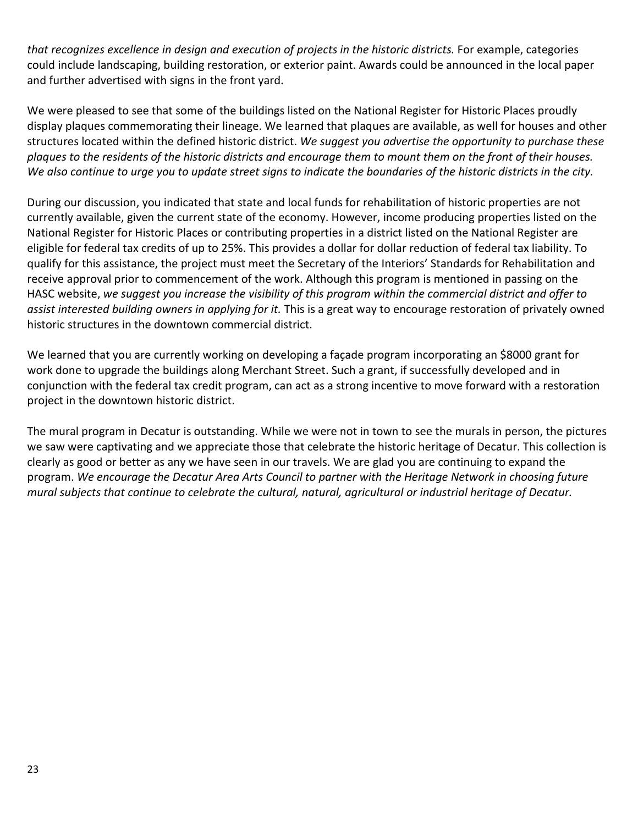*that recognizes excellence in design and execution of projects in the historic districts.* For example, categories could include landscaping, building restoration, or exterior paint. Awards could be announced in the local paper and further advertised with signs in the front yard.

We were pleased to see that some of the buildings listed on the National Register for Historic Places proudly display plaques commemorating their lineage. We learned that plaques are available, as well for houses and other structures located within the defined historic district. *We suggest you advertise the opportunity to purchase these plaques to the residents of the historic districts and encourage them to mount them on the front of their houses. We also continue to urge you to update street signs to indicate the boundaries of the historic districts in the city.*

During our discussion, you indicated that state and local funds for rehabilitation of historic properties are not currently available, given the current state of the economy. However, income producing properties listed on the National Register for Historic Places or contributing properties in a district listed on the National Register are eligible for federal tax credits of up to 25%. This provides a dollar for dollar reduction of federal tax liability. To qualify for this assistance, the project must meet the Secretary of the Interiors' Standards for Rehabilitation and receive approval prior to commencement of the work. Although this program is mentioned in passing on the HASC website, *we suggest you increase the visibility of this program within the commercial district and offer to assist interested building owners in applying for it.* This is a great way to encourage restoration of privately owned historic structures in the downtown commercial district.

We learned that you are currently working on developing a façade program incorporating an \$8000 grant for work done to upgrade the buildings along Merchant Street. Such a grant, if successfully developed and in conjunction with the federal tax credit program, can act as a strong incentive to move forward with a restoration project in the downtown historic district.

The mural program in Decatur is outstanding. While we were not in town to see the murals in person, the pictures we saw were captivating and we appreciate those that celebrate the historic heritage of Decatur. This collection is clearly as good or better as any we have seen in our travels. We are glad you are continuing to expand the program. *We encourage the Decatur Area Arts Council to partner with the Heritage Network in choosing future mural subjects that continue to celebrate the cultural, natural, agricultural or industrial heritage of Decatur.*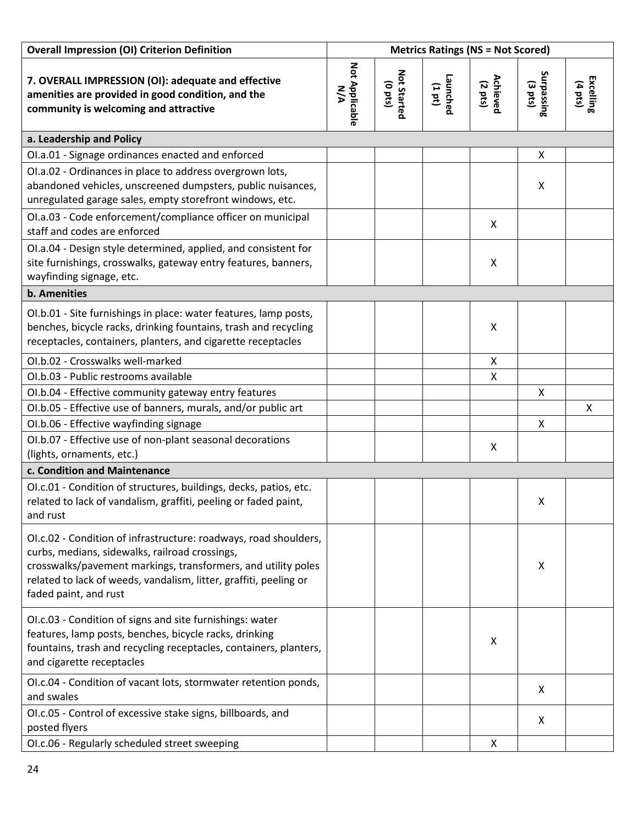| <b>Overall Impression (OI) Criterion Definition</b>                                                                                                                                                                                                                               | <b>Metrics Ratings (NS = Not Scored)</b> |                             |                   |                     |                                 |                      |
|-----------------------------------------------------------------------------------------------------------------------------------------------------------------------------------------------------------------------------------------------------------------------------------|------------------------------------------|-----------------------------|-------------------|---------------------|---------------------------------|----------------------|
| 7. OVERALL IMPRESSION (OI): adequate and effective<br>amenities are provided in good condition, and the<br>community is welcoming and attractive                                                                                                                                  | Not Applicable<br>N/A                    | Not Started<br>$($ sad $_0$ | Launched<br>(101) | Achieved<br>(2 pts) | Surpassing<br>$(3 \text{ pts})$ | Excelling<br>(4 pts) |
| a. Leadership and Policy                                                                                                                                                                                                                                                          |                                          |                             |                   |                     |                                 |                      |
| OI.a.01 - Signage ordinances enacted and enforced                                                                                                                                                                                                                                 |                                          |                             |                   |                     | X                               |                      |
| OI.a.02 - Ordinances in place to address overgrown lots,<br>abandoned vehicles, unscreened dumpsters, public nuisances,<br>unregulated garage sales, empty storefront windows, etc.                                                                                               |                                          |                             |                   |                     | X                               |                      |
| OI.a.03 - Code enforcement/compliance officer on municipal<br>staff and codes are enforced                                                                                                                                                                                        |                                          |                             |                   | X                   |                                 |                      |
| OI.a.04 - Design style determined, applied, and consistent for<br>site furnishings, crosswalks, gateway entry features, banners,<br>wayfinding signage, etc.                                                                                                                      |                                          |                             |                   | X                   |                                 |                      |
| <b>b.</b> Amenities                                                                                                                                                                                                                                                               |                                          |                             |                   |                     |                                 |                      |
| OI.b.01 - Site furnishings in place: water features, lamp posts,<br>benches, bicycle racks, drinking fountains, trash and recycling<br>receptacles, containers, planters, and cigarette receptacles                                                                               |                                          |                             |                   | X                   |                                 |                      |
| OI.b.02 - Crosswalks well-marked                                                                                                                                                                                                                                                  |                                          |                             |                   | X                   |                                 |                      |
| OI.b.03 - Public restrooms available                                                                                                                                                                                                                                              |                                          |                             |                   | Χ                   |                                 |                      |
| OI.b.04 - Effective community gateway entry features                                                                                                                                                                                                                              |                                          |                             |                   |                     | X                               |                      |
| OI.b.05 - Effective use of banners, murals, and/or public art                                                                                                                                                                                                                     |                                          |                             |                   |                     |                                 | X                    |
| OI.b.06 - Effective wayfinding signage                                                                                                                                                                                                                                            |                                          |                             |                   |                     | X                               |                      |
| OI.b.07 - Effective use of non-plant seasonal decorations<br>(lights, ornaments, etc.)                                                                                                                                                                                            |                                          |                             |                   | X                   |                                 |                      |
| c. Condition and Maintenance                                                                                                                                                                                                                                                      |                                          |                             |                   |                     |                                 |                      |
| OI.c.01 - Condition of structures, buildings, decks, patios, etc.<br>related to lack of vandalism, graffiti, peeling or faded paint,<br>and rust                                                                                                                                  |                                          |                             |                   |                     | X                               |                      |
| OI.c.02 - Condition of infrastructure: roadways, road shoulders,<br>curbs, medians, sidewalks, railroad crossings,<br>crosswalks/pavement markings, transformers, and utility poles<br>related to lack of weeds, vandalism, litter, graffiti, peeling or<br>faded paint, and rust |                                          |                             |                   |                     | X                               |                      |
| OI.c.03 - Condition of signs and site furnishings: water<br>features, lamp posts, benches, bicycle racks, drinking<br>fountains, trash and recycling receptacles, containers, planters,<br>and cigarette receptacles                                                              |                                          |                             |                   | X                   |                                 |                      |
| OI.c.04 - Condition of vacant lots, stormwater retention ponds,<br>and swales                                                                                                                                                                                                     |                                          |                             |                   |                     | X                               |                      |
| OI.c.05 - Control of excessive stake signs, billboards, and<br>posted flyers                                                                                                                                                                                                      |                                          |                             |                   |                     | X                               |                      |
| OI.c.06 - Regularly scheduled street sweeping                                                                                                                                                                                                                                     |                                          |                             |                   | X                   |                                 |                      |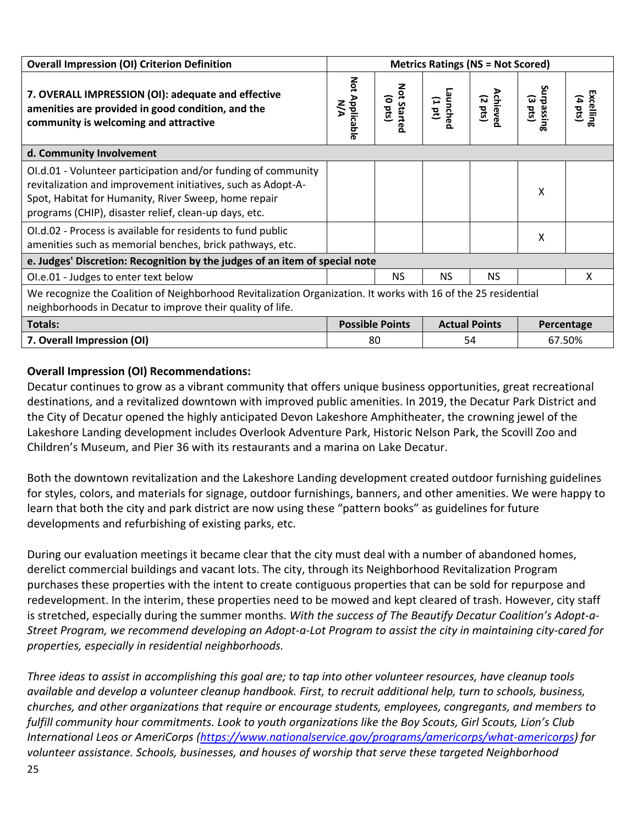| <b>Overall Impression (OI) Criterion Definition</b>                                                                                                                                                                                            | <b>Metrics Ratings (NS = Not Scored)</b> |                              |                      |                                     |                   |                                 |  |
|------------------------------------------------------------------------------------------------------------------------------------------------------------------------------------------------------------------------------------------------|------------------------------------------|------------------------------|----------------------|-------------------------------------|-------------------|---------------------------------|--|
| 7. OVERALL IMPRESSION (OI): adequate and effective<br>amenities are provided in good condition, and the<br>community is welcoming and attractive                                                                                               | Not Applicable<br><b>N/A</b>             | Not Started<br>$($ o pts $($ | Launcher<br>$(1d_1)$ | <b>Achieve</b><br>$(2 \text{ pts})$ | izsedur<br>(3 pts | Excelling<br>$(4 \text{ bits})$ |  |
| d. Community Involvement                                                                                                                                                                                                                       |                                          |                              |                      |                                     |                   |                                 |  |
| OI.d.01 - Volunteer participation and/or funding of community<br>revitalization and improvement initiatives, such as Adopt-A-<br>Spot, Habitat for Humanity, River Sweep, home repair<br>programs (CHIP), disaster relief, clean-up days, etc. |                                          |                              |                      |                                     | X                 |                                 |  |
| OI.d.02 - Process is available for residents to fund public<br>amenities such as memorial benches, brick pathways, etc.                                                                                                                        |                                          |                              |                      |                                     | X                 |                                 |  |
| e. Judges' Discretion: Recognition by the judges of an item of special note                                                                                                                                                                    |                                          |                              |                      |                                     |                   |                                 |  |
| OI.e.01 - Judges to enter text below                                                                                                                                                                                                           |                                          | <b>NS</b>                    | <b>NS</b>            | <b>NS</b>                           |                   | X                               |  |
| We recognize the Coalition of Neighborhood Revitalization Organization. It works with 16 of the 25 residential<br>neighborhoods in Decatur to improve their quality of life.                                                                   |                                          |                              |                      |                                     |                   |                                 |  |
| Totals:                                                                                                                                                                                                                                        | <b>Possible Points</b>                   |                              | <b>Actual Points</b> |                                     | Percentage        |                                 |  |
| 7. Overall Impression (OI)                                                                                                                                                                                                                     | 80                                       |                              | 54                   |                                     | 67.50%            |                                 |  |

#### **Overall Impression (OI) Recommendations:**

Decatur continues to grow as a vibrant community that offers unique business opportunities, great recreational destinations, and a revitalized downtown with improved public amenities. In 2019, the Decatur Park District and the City of Decatur opened the highly anticipated Devon Lakeshore Amphitheater, the crowning jewel of the Lakeshore Landing development includes Overlook Adventure Park, Historic Nelson Park, the Scovill Zoo and Children's Museum, and Pier 36 with its restaurants and a marina on Lake Decatur.

Both the downtown revitalization and the Lakeshore Landing development created outdoor furnishing guidelines for styles, colors, and materials for signage, outdoor furnishings, banners, and other amenities. We were happy to learn that both the city and park district are now using these "pattern books" as guidelines for future developments and refurbishing of existing parks, etc.

During our evaluation meetings it became clear that the city must deal with a number of abandoned homes, derelict commercial buildings and vacant lots. The city, through its Neighborhood Revitalization Program purchases these properties with the intent to create contiguous properties that can be sold for repurpose and redevelopment. In the interim, these properties need to be mowed and kept cleared of trash. However, city staff is stretched, especially during the summer months. *With the success of The Beautify Decatur Coalition's Adopt-a-Street Program, we recommend developing an Adopt-a-Lot Program to assist the city in maintaining city-cared for properties, especially in residential neighborhoods.*

*Three ideas to assist in accomplishing this goal are; to tap into other volunteer resources, have cleanup tools available and develop a volunteer cleanup handbook. First, to recruit additional help, turn to schools, business, churches, and other organizations that require or encourage students, employees, congregants, and members to fulfill community hour commitments. Look to youth organizations like the Boy Scouts, Girl Scouts, Lion's Club International Leos or AmeriCorps [\(https://www.nationalservice.gov/programs/americorps/what-americorps\)](https://www.nationalservice.gov/programs/americorps/what-americorps) for volunteer assistance. Schools, businesses, and houses of worship that serve these targeted Neighborhood*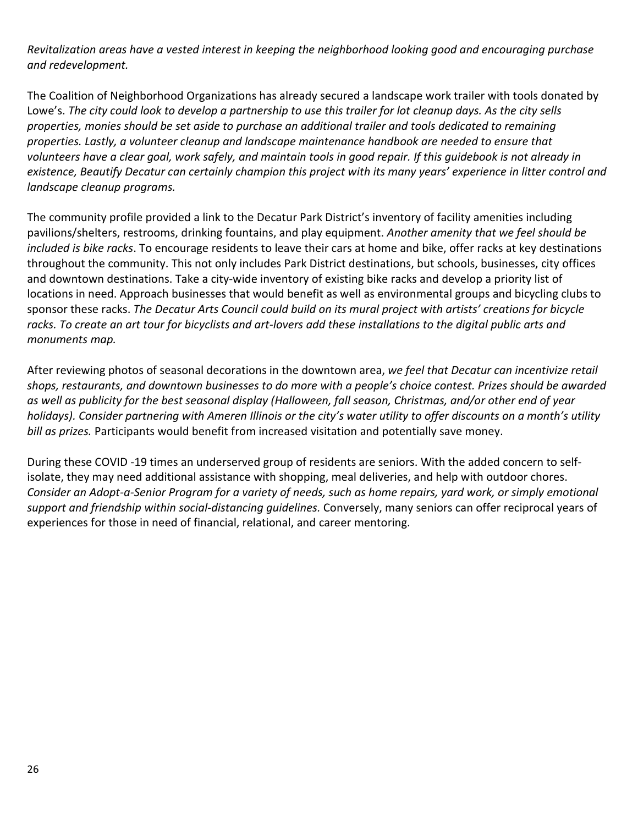*Revitalization areas have a vested interest in keeping the neighborhood looking good and encouraging purchase and redevelopment.*

The Coalition of Neighborhood Organizations has already secured a landscape work trailer with tools donated by Lowe's. *The city could look to develop a partnership to use this trailer for lot cleanup days. As the city sells properties, monies should be set aside to purchase an additional trailer and tools dedicated to remaining properties. Lastly, a volunteer cleanup and landscape maintenance handbook are needed to ensure that volunteers have a clear goal, work safely, and maintain tools in good repair. If this guidebook is not already in existence, Beautify Decatur can certainly champion this project with its many years' experience in litter control and landscape cleanup programs.*

The community profile provided a link to the Decatur Park District's inventory of facility amenities including pavilions/shelters, restrooms, drinking fountains, and play equipment. *Another amenity that we feel should be included is bike racks*. To encourage residents to leave their cars at home and bike, offer racks at key destinations throughout the community. This not only includes Park District destinations, but schools, businesses, city offices and downtown destinations. Take a city-wide inventory of existing bike racks and develop a priority list of locations in need. Approach businesses that would benefit as well as environmental groups and bicycling clubs to sponsor these racks. *The Decatur Arts Council could build on its mural project with artists' creations for bicycle racks. To create an art tour for bicyclists and art-lovers add these installations to the digital public arts and monuments map.*

After reviewing photos of seasonal decorations in the downtown area, *we feel that Decatur can incentivize retail shops, restaurants, and downtown businesses to do more with a people's choice contest. Prizes should be awarded as well as publicity for the best seasonal display (Halloween, fall season, Christmas, and/or other end of year holidays). Consider partnering with Ameren Illinois or the city's water utility to offer discounts on a month's utility bill as prizes.* Participants would benefit from increased visitation and potentially save money.

During these COVID -19 times an underserved group of residents are seniors. With the added concern to selfisolate, they may need additional assistance with shopping, meal deliveries, and help with outdoor chores. *Consider an Adopt-a-Senior Program for a variety of needs, such as home repairs, yard work, or simply emotional support and friendship within social-distancing guidelines.* Conversely, many seniors can offer reciprocal years of experiences for those in need of financial, relational, and career mentoring.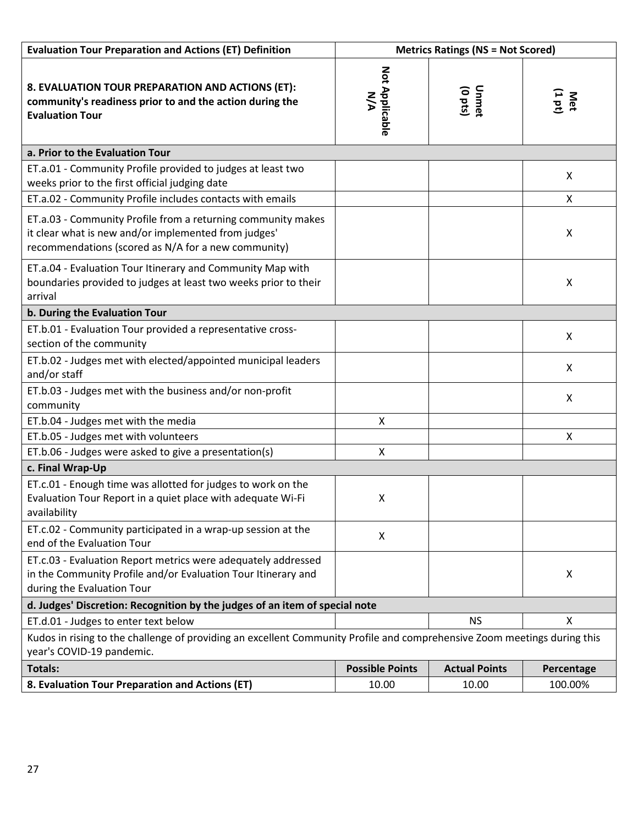| <b>Evaluation Tour Preparation and Actions (ET) Definition</b>                                                                                                              | <b>Metrics Ratings (NS = Not Scored)</b> |                      |               |  |  |  |  |
|-----------------------------------------------------------------------------------------------------------------------------------------------------------------------------|------------------------------------------|----------------------|---------------|--|--|--|--|
| 8. EVALUATION TOUR PREPARATION AND ACTIONS (ET):<br>community's readiness prior to and the action during the<br><b>Evaluation Tour</b>                                      | Not Applicable<br>N/A                    | Unmet<br>(0 pts)     | Met<br>(1 pt) |  |  |  |  |
| a. Prior to the Evaluation Tour                                                                                                                                             |                                          |                      |               |  |  |  |  |
| ET.a.01 - Community Profile provided to judges at least two<br>weeks prior to the first official judging date                                                               |                                          |                      | X             |  |  |  |  |
| ET.a.02 - Community Profile includes contacts with emails                                                                                                                   |                                          |                      | X             |  |  |  |  |
| ET.a.03 - Community Profile from a returning community makes<br>it clear what is new and/or implemented from judges'<br>recommendations (scored as N/A for a new community) |                                          |                      | X             |  |  |  |  |
| ET.a.04 - Evaluation Tour Itinerary and Community Map with<br>boundaries provided to judges at least two weeks prior to their<br>arrival                                    |                                          |                      | X             |  |  |  |  |
| b. During the Evaluation Tour                                                                                                                                               |                                          |                      |               |  |  |  |  |
| ET.b.01 - Evaluation Tour provided a representative cross-<br>section of the community                                                                                      |                                          |                      | X             |  |  |  |  |
| ET.b.02 - Judges met with elected/appointed municipal leaders<br>and/or staff                                                                                               |                                          |                      | X             |  |  |  |  |
| ET.b.03 - Judges met with the business and/or non-profit<br>community                                                                                                       |                                          |                      | X             |  |  |  |  |
| ET.b.04 - Judges met with the media                                                                                                                                         | Χ                                        |                      |               |  |  |  |  |
| ET.b.05 - Judges met with volunteers                                                                                                                                        |                                          |                      | X             |  |  |  |  |
| ET.b.06 - Judges were asked to give a presentation(s)                                                                                                                       | X                                        |                      |               |  |  |  |  |
| c. Final Wrap-Up                                                                                                                                                            |                                          |                      |               |  |  |  |  |
| ET.c.01 - Enough time was allotted for judges to work on the<br>Evaluation Tour Report in a quiet place with adequate Wi-Fi<br>availability                                 | Χ                                        |                      |               |  |  |  |  |
| ET.c.02 - Community participated in a wrap-up session at the<br>end of the Evaluation Tour                                                                                  | X                                        |                      |               |  |  |  |  |
| ET.c.03 - Evaluation Report metrics were adequately addressed<br>in the Community Profile and/or Evaluation Tour Itinerary and<br>during the Evaluation Tour                |                                          |                      | X             |  |  |  |  |
| d. Judges' Discretion: Recognition by the judges of an item of special note                                                                                                 |                                          |                      |               |  |  |  |  |
| <b>NS</b><br>X<br>ET.d.01 - Judges to enter text below                                                                                                                      |                                          |                      |               |  |  |  |  |
| Kudos in rising to the challenge of providing an excellent Community Profile and comprehensive Zoom meetings during this<br>year's COVID-19 pandemic.                       |                                          |                      |               |  |  |  |  |
| <b>Totals:</b>                                                                                                                                                              | <b>Possible Points</b>                   | <b>Actual Points</b> | Percentage    |  |  |  |  |
| 8. Evaluation Tour Preparation and Actions (ET)                                                                                                                             | 10.00                                    | 10.00                | 100.00%       |  |  |  |  |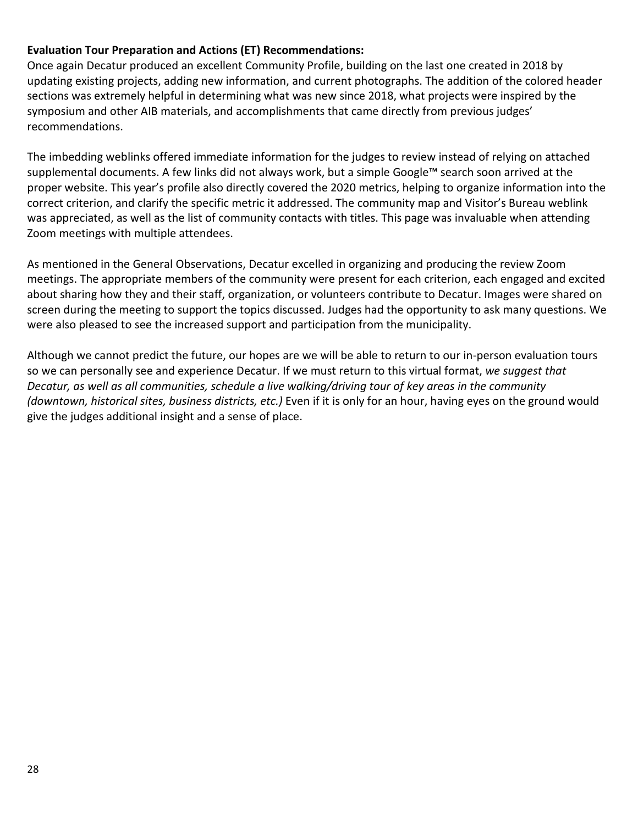#### **Evaluation Tour Preparation and Actions (ET) Recommendations:**

Once again Decatur produced an excellent Community Profile, building on the last one created in 2018 by updating existing projects, adding new information, and current photographs. The addition of the colored header sections was extremely helpful in determining what was new since 2018, what projects were inspired by the symposium and other AIB materials, and accomplishments that came directly from previous judges' recommendations.

The imbedding weblinks offered immediate information for the judges to review instead of relying on attached supplemental documents. A few links did not always work, but a simple Google™ search soon arrived at the proper website. This year's profile also directly covered the 2020 metrics, helping to organize information into the correct criterion, and clarify the specific metric it addressed. The community map and Visitor's Bureau weblink was appreciated, as well as the list of community contacts with titles. This page was invaluable when attending Zoom meetings with multiple attendees.

As mentioned in the General Observations, Decatur excelled in organizing and producing the review Zoom meetings. The appropriate members of the community were present for each criterion, each engaged and excited about sharing how they and their staff, organization, or volunteers contribute to Decatur. Images were shared on screen during the meeting to support the topics discussed. Judges had the opportunity to ask many questions. We were also pleased to see the increased support and participation from the municipality.

Although we cannot predict the future, our hopes are we will be able to return to our in-person evaluation tours so we can personally see and experience Decatur. If we must return to this virtual format, *we suggest that Decatur, as well as all communities, schedule a live walking/driving tour of key areas in the community (downtown, historical sites, business districts, etc.)* Even if it is only for an hour, having eyes on the ground would give the judges additional insight and a sense of place.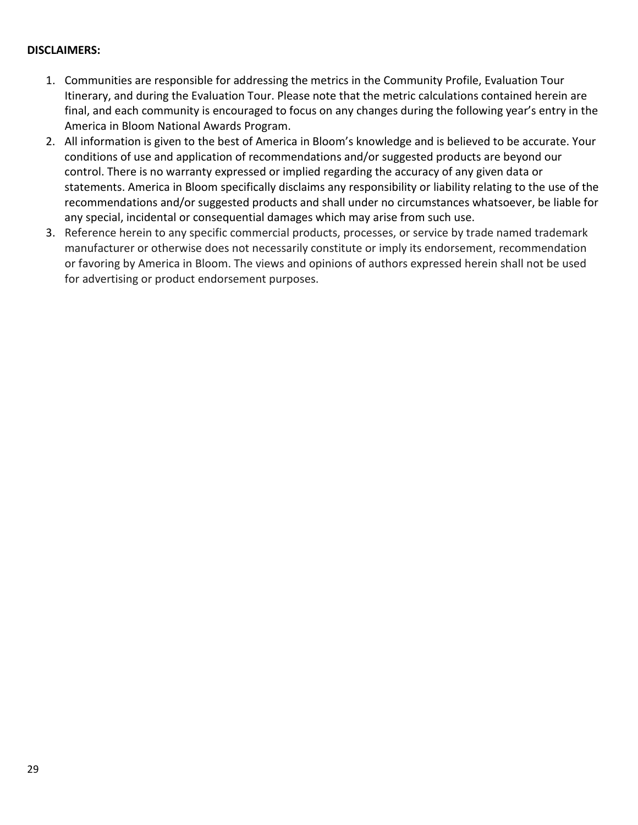#### **DISCLAIMERS:**

- 1. Communities are responsible for addressing the metrics in the Community Profile, Evaluation Tour Itinerary, and during the Evaluation Tour. Please note that the metric calculations contained herein are final, and each community is encouraged to focus on any changes during the following year's entry in the America in Bloom National Awards Program.
- 2. All information is given to the best of America in Bloom's knowledge and is believed to be accurate. Your conditions of use and application of recommendations and/or suggested products are beyond our control. There is no warranty expressed or implied regarding the accuracy of any given data or statements. America in Bloom specifically disclaims any responsibility or liability relating to the use of the recommendations and/or suggested products and shall under no circumstances whatsoever, be liable for any special, incidental or consequential damages which may arise from such use.
- 3. Reference herein to any specific commercial products, processes, or service by trade named trademark manufacturer or otherwise does not necessarily constitute or imply its endorsement, recommendation or favoring by America in Bloom. The views and opinions of authors expressed herein shall not be used for advertising or product endorsement purposes.